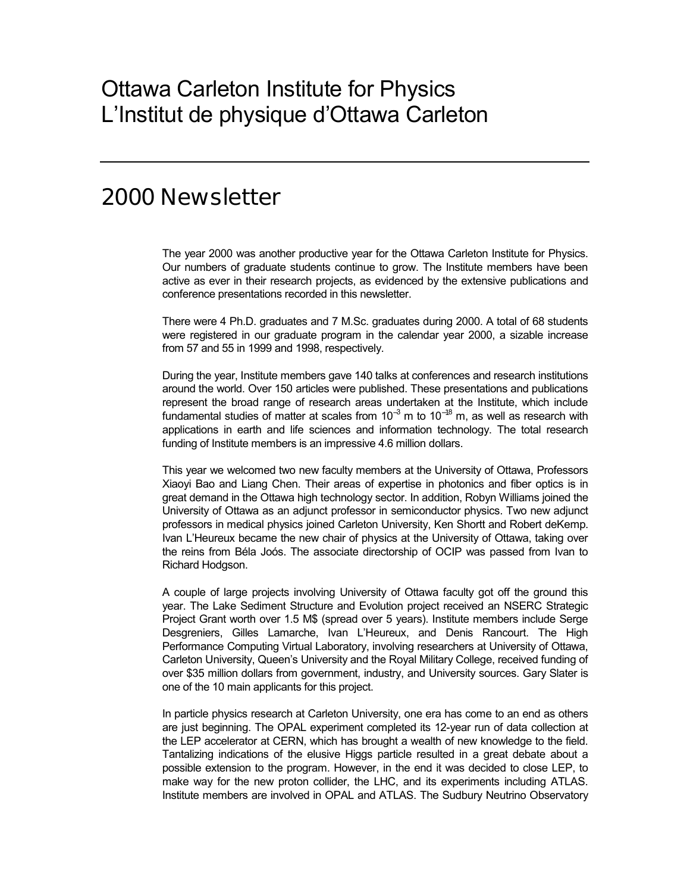# Ottawa Carleton Institute for Physics L'Institut de physique d'Ottawa Carleton

## 2000 Newsletter

The year 2000 was another productive year for the Ottawa Carleton Institute for Physics. Our numbers of graduate students continue to grow. The Institute members have been active as ever in their research projects, as evidenced by the extensive publications and conference presentations recorded in this newsletter.

There were 4 Ph.D. graduates and 7 M.Sc. graduates during 2000. A total of 68 students were registered in our graduate program in the calendar year 2000, a sizable increase from 57 and 55 in 1999 and 1998, respectively.

During the year, Institute members gave 140 talks at conferences and research institutions around the world. Over 150 articles were published. These presentations and publications represent the broad range of research areas undertaken at the Institute, which include fundamental studies of matter at scales from 10<sup>-3</sup> m to 10<sup>-18</sup> m, as well as research with applications in earth and life sciences and information technology. The total research funding of Institute members is an impressive 4.6 million dollars.

This year we welcomed two new faculty members at the University of Ottawa, Professors Xiaoyi Bao and Liang Chen. Their areas of expertise in photonics and fiber optics is in great demand in the Ottawa high technology sector. In addition, Robyn Williams joined the University of Ottawa as an adjunct professor in semiconductor physics. Two new adjunct professors in medical physics joined Carleton University, Ken Shortt and Robert deKemp. Ivan LíHeureux became the new chair of physics at the University of Ottawa, taking over the reins from Béla Joós. The associate directorship of OCIP was passed from Ivan to Richard Hodgson.

A couple of large projects involving University of Ottawa faculty got off the ground this year. The Lake Sediment Structure and Evolution project received an NSERC Strategic Project Grant worth over 1.5 M\$ (spread over 5 years). Institute members include Serge Desgreniers, Gilles Lamarche, Ivan LíHeureux, and Denis Rancourt. The High Performance Computing Virtual Laboratory, involving researchers at University of Ottawa, Carleton University, Queenís University and the Royal Military College, received funding of over \$35 million dollars from government, industry, and University sources. Gary Slater is one of the 10 main applicants for this project.

In particle physics research at Carleton University, one era has come to an end as others are just beginning. The OPAL experiment completed its 12-year run of data collection at the LEP accelerator at CERN, which has brought a wealth of new knowledge to the field. Tantalizing indications of the elusive Higgs particle resulted in a great debate about a possible extension to the program. However, in the end it was decided to close LEP, to make way for the new proton collider, the LHC, and its experiments including ATLAS. Institute members are involved in OPAL and ATLAS. The Sudbury Neutrino Observatory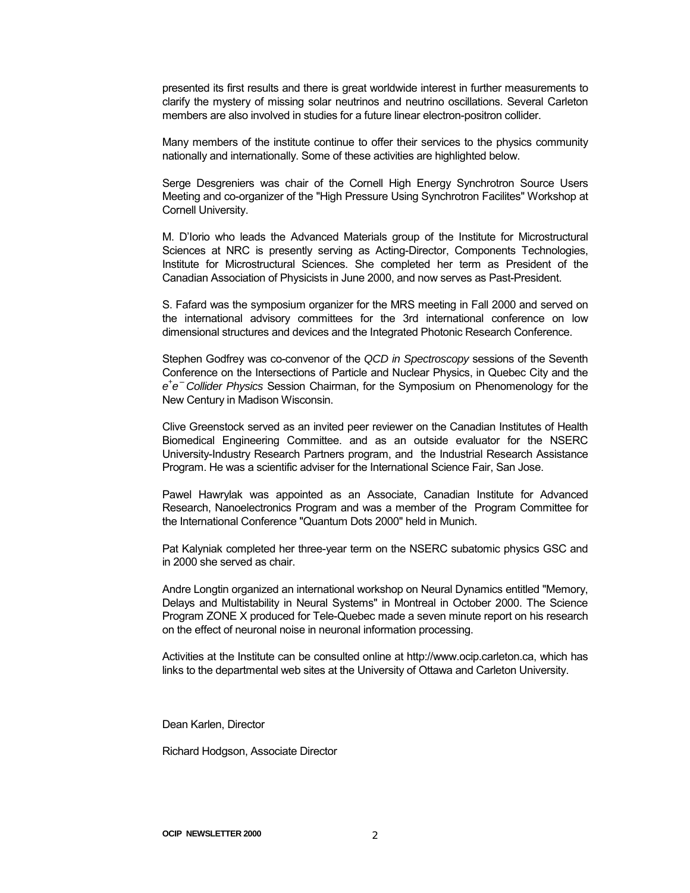presented its first results and there is great worldwide interest in further measurements to clarify the mystery of missing solar neutrinos and neutrino oscillations. Several Carleton members are also involved in studies for a future linear electron-positron collider.

Many members of the institute continue to offer their services to the physics community nationally and internationally. Some of these activities are highlighted below.

Serge Desgreniers was chair of the Cornell High Energy Synchrotron Source Users Meeting and co-organizer of the "High Pressure Using Synchrotron Facilites" Workshop at Cornell University.

M. D'Iorio who leads the Advanced Materials group of the Institute for Microstructural Sciences at NRC is presently serving as Acting-Director, Components Technologies, Institute for Microstructural Sciences. She completed her term as President of the Canadian Association of Physicists in June 2000, and now serves as Past-President.

S. Fafard was the symposium organizer for the MRS meeting in Fall 2000 and served on the international advisory committees for the 3rd international conference on low dimensional structures and devices and the Integrated Photonic Research Conference.

Stephen Godfrey was co-convenor of the *QCD in Spectroscopy* sessions of the Seventh Conference on the Intersections of Particle and Nuclear Physics, in Quebec City and the *e+ e*− *Collider Physics* Session Chairman, for the Symposium on Phenomenology for the New Century in Madison Wisconsin.

Clive Greenstock served as an invited peer reviewer on the Canadian Institutes of Health Biomedical Engineering Committee. and as an outside evaluator for the NSERC University-Industry Research Partners program, and the Industrial Research Assistance Program. He was a scientific adviser for the International Science Fair, San Jose.

Pawel Hawrylak was appointed as an Associate, Canadian Institute for Advanced Research, Nanoelectronics Program and was a member of the Program Committee for the International Conference "Quantum Dots 2000" held in Munich.

Pat Kalyniak completed her three-year term on the NSERC subatomic physics GSC and in 2000 she served as chair.

Andre Longtin organized an international workshop on Neural Dynamics entitled "Memory, Delays and Multistability in Neural Systems" in Montreal in October 2000. The Science Program ZONE X produced for Tele-Quebec made a seven minute report on his research on the effect of neuronal noise in neuronal information processing.

Activities at the Institute can be consulted online at http://www.ocip.carleton.ca, which has links to the departmental web sites at the University of Ottawa and Carleton University.

Dean Karlen, Director

Richard Hodgson, Associate Director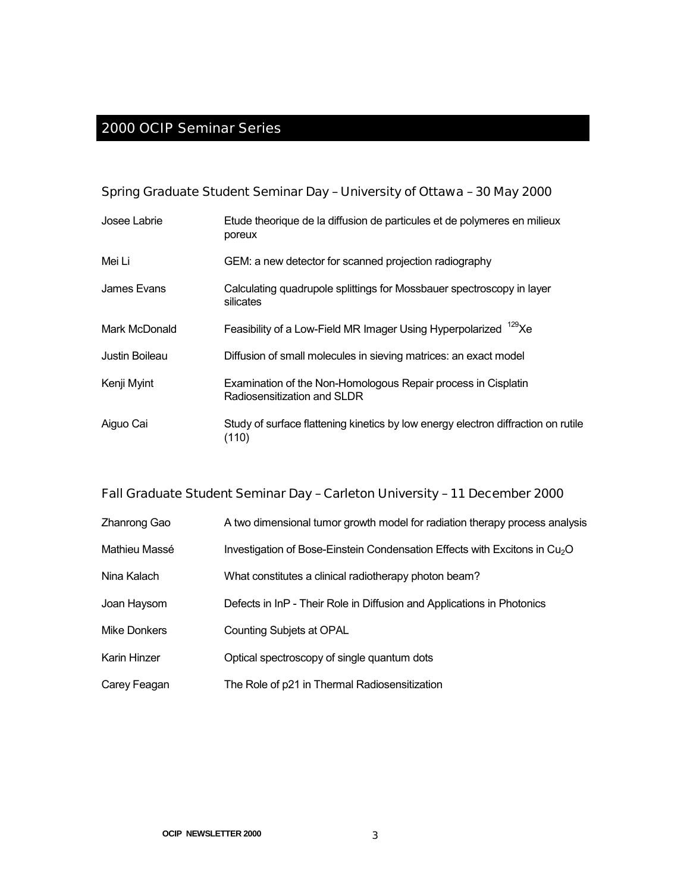#### 2000 OCIP Seminar Series

Spring Graduate Student Seminar Day – University of Ottawa – 30 May 2000

| Josee Labrie   | Etude theorique de la diffusion de particules et de polymeres en milieux<br>poreux           |
|----------------|----------------------------------------------------------------------------------------------|
| Mei Li         | GEM: a new detector for scanned projection radiography                                       |
| James Evans    | Calculating quadrupole splittings for Mossbauer spectroscopy in layer<br>silicates           |
| Mark McDonald  | Feasibility of a Low-Field MR Imager Using Hyperpolarized <sup>129</sup> Xe                  |
| Justin Boileau | Diffusion of small molecules in sieving matrices: an exact model                             |
| Kenji Myint    | Examination of the Non-Homologous Repair process in Cisplatin<br>Radiosensitization and SLDR |
| Aiguo Cai      | Study of surface flattening kinetics by low energy electron diffraction on rutile<br>(110)   |

Fall Graduate Student Seminar Day – Carleton University – 11 December 2000

| Zhanrong Gao | A two dimensional tumor growth model for radiation therapy process analysis |  |
|--------------|-----------------------------------------------------------------------------|--|
|              |                                                                             |  |

| Mathieu Massé | Investigation of Bose-Einstein Condensation Effects with Excitons in $Cu2O$ |
|---------------|-----------------------------------------------------------------------------|
|---------------|-----------------------------------------------------------------------------|

- Nina Kalach What constitutes a clinical radiotherapy photon beam?
- Joan Haysom Defects in InP Their Role in Diffusion and Applications in Photonics
- Mike Donkers Counting Subjets at OPAL
- Karin Hinzer **Contingler Contingle** Optical spectroscopy of single quantum dots
- Carey Feagan The Role of p21 in Thermal Radiosensitization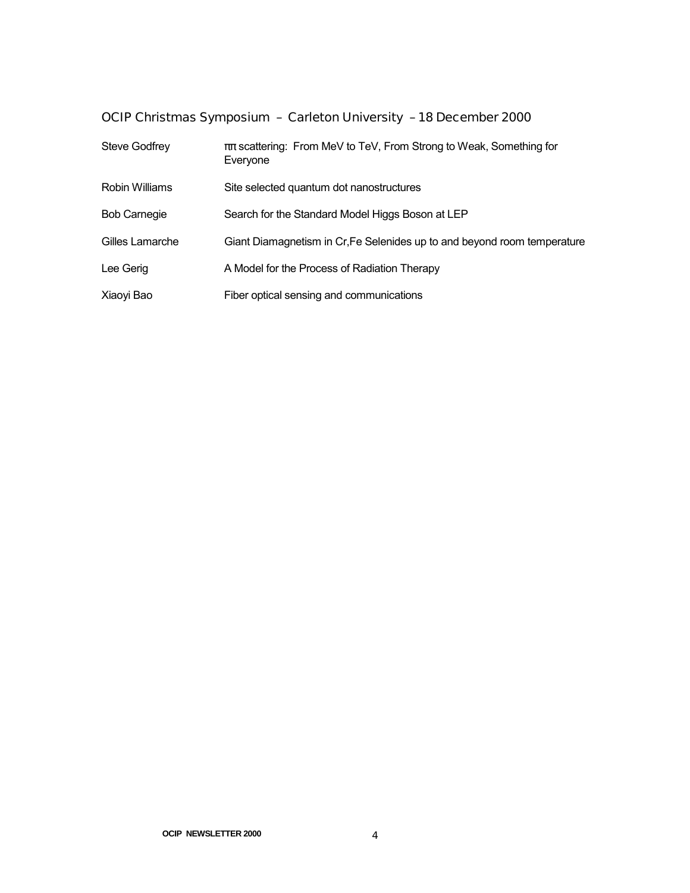OCIP Christmas Symposium – Carleton University – 18 December 2000

| <b>Steve Godfrey</b> | $\pi\pi$ scattering: From MeV to TeV, From Strong to Weak, Something for<br>Everyone |
|----------------------|--------------------------------------------------------------------------------------|
| Robin Williams       | Site selected quantum dot nanostructures                                             |
| <b>Bob Carnegie</b>  | Search for the Standard Model Higgs Boson at LEP                                     |
| Gilles Lamarche      | Giant Diamagnetism in Cr, Fe Selenides up to and beyond room temperature             |
| Lee Gerig            | A Model for the Process of Radiation Therapy                                         |
| Xiaoyi Bao           | Fiber optical sensing and communications                                             |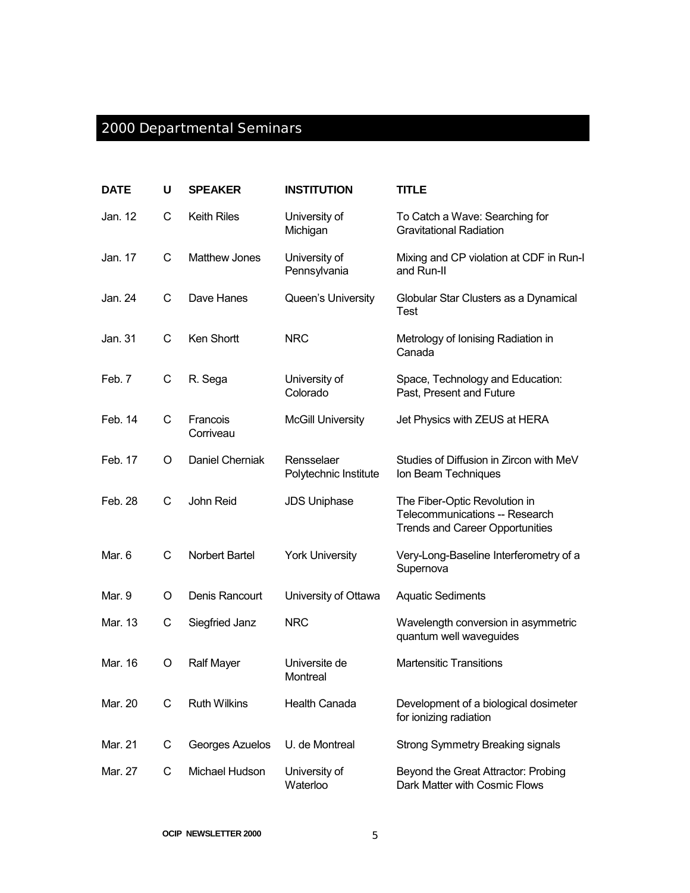# 2000 Departmental Seminars

| <b>DATE</b> | U | <b>SPEAKER</b>        | <b>INSTITUTION</b>                  | <b>TITLE</b>                                                                                              |
|-------------|---|-----------------------|-------------------------------------|-----------------------------------------------------------------------------------------------------------|
| Jan. 12     | C | <b>Keith Riles</b>    | University of<br>Michigan           | To Catch a Wave: Searching for<br><b>Gravitational Radiation</b>                                          |
| Jan. 17     | C | <b>Matthew Jones</b>  | University of<br>Pennsylvania       | Mixing and CP violation at CDF in Run-I<br>and Run-II                                                     |
| Jan. 24     | C | Dave Hanes            | Queen's University                  | Globular Star Clusters as a Dynamical<br><b>Test</b>                                                      |
| Jan. 31     | C | Ken Shortt            | <b>NRC</b>                          | Metrology of Ionising Radiation in<br>Canada                                                              |
| Feb. 7      | C | R. Sega               | University of<br>Colorado           | Space, Technology and Education:<br>Past, Present and Future                                              |
| Feb. 14     | C | Francois<br>Corriveau | <b>McGill University</b>            | Jet Physics with ZEUS at HERA                                                                             |
| Feb. 17     | O | Daniel Cherniak       | Rensselaer<br>Polytechnic Institute | Studies of Diffusion in Zircon with MeV<br>Ion Beam Techniques                                            |
| Feb. 28     | C | John Reid             | <b>JDS Uniphase</b>                 | The Fiber-Optic Revolution in<br>Telecommunications -- Research<br><b>Trends and Career Opportunities</b> |
| Mar. 6      | C | Norbert Bartel        | <b>York University</b>              | Very-Long-Baseline Interferometry of a<br>Supernova                                                       |
| Mar. 9      | O | Denis Rancourt        | University of Ottawa                | <b>Aquatic Sediments</b>                                                                                  |
| Mar. 13     | C | Siegfried Janz        | <b>NRC</b>                          | Wavelength conversion in asymmetric<br>quantum well waveguides                                            |
| Mar. 16     | O | <b>Ralf Mayer</b>     | Universite de<br>Montreal           | <b>Martensitic Transitions</b>                                                                            |
| Mar. 20     | С | <b>Ruth Wilkins</b>   | Health Canada                       | Development of a biological dosimeter<br>for ionizing radiation                                           |
| Mar. 21     | C | Georges Azuelos       | U. de Montreal                      | <b>Strong Symmetry Breaking signals</b>                                                                   |
| Mar. 27     | C | Michael Hudson        | University of<br>Waterloo           | Beyond the Great Attractor: Probing<br>Dark Matter with Cosmic Flows                                      |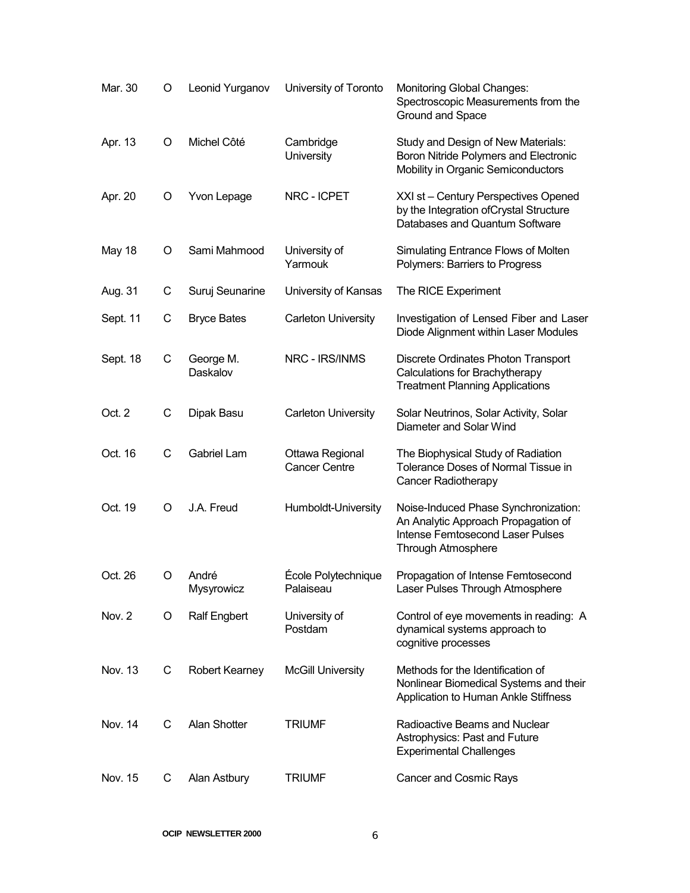| Mar. 30  | O | Leonid Yurganov       | University of Toronto                   | Monitoring Global Changes:<br>Spectroscopic Measurements from the<br>Ground and Space                                                               |
|----------|---|-----------------------|-----------------------------------------|-----------------------------------------------------------------------------------------------------------------------------------------------------|
| Apr. 13  | O | Michel Côté           | Cambridge<br>University                 | Study and Design of New Materials:<br>Boron Nitride Polymers and Electronic<br>Mobility in Organic Semiconductors                                   |
| Apr. 20  | O | Yvon Lepage           | NRC - ICPET                             | XXI st - Century Perspectives Opened<br>by the Integration of Crystal Structure<br>Databases and Quantum Software                                   |
| May 18   | O | Sami Mahmood          | University of<br>Yarmouk                | Simulating Entrance Flows of Molten<br>Polymers: Barriers to Progress                                                                               |
| Aug. 31  | C | Suruj Seunarine       | University of Kansas                    | The RICE Experiment                                                                                                                                 |
| Sept. 11 | C | <b>Bryce Bates</b>    | <b>Carleton University</b>              | Investigation of Lensed Fiber and Laser<br>Diode Alignment within Laser Modules                                                                     |
| Sept. 18 | С | George M.<br>Daskalov | NRC - IRS/INMS                          | Discrete Ordinates Photon Transport<br>Calculations for Brachytherapy<br><b>Treatment Planning Applications</b>                                     |
| Oct. 2   | С | Dipak Basu            | <b>Carleton University</b>              | Solar Neutrinos, Solar Activity, Solar<br>Diameter and Solar Wind                                                                                   |
| Oct. 16  | С | Gabriel Lam           | Ottawa Regional<br><b>Cancer Centre</b> | The Biophysical Study of Radiation<br>Tolerance Doses of Normal Tissue in<br>Cancer Radiotherapy                                                    |
| Oct. 19  | O | J.A. Freud            | Humboldt-University                     | Noise-Induced Phase Synchronization:<br>An Analytic Approach Propagation of<br><b>Intense Femtosecond Laser Pulses</b><br><b>Through Atmosphere</b> |
| Oct. 26  | O | André<br>Mysyrowicz   | École Polytechnique<br>Palaiseau        | Propagation of Intense Femtosecond<br>Laser Pulses Through Atmosphere                                                                               |
| Nov. 2   | O | <b>Ralf Engbert</b>   | University of<br>Postdam                | Control of eye movements in reading: A<br>dynamical systems approach to<br>cognitive processes                                                      |
| Nov. 13  | C | Robert Kearney        | <b>McGill University</b>                | Methods for the Identification of<br>Nonlinear Biomedical Systems and their<br>Application to Human Ankle Stiffness                                 |
| Nov. 14  | С | Alan Shotter          | <b>TRIUMF</b>                           | Radioactive Beams and Nuclear<br>Astrophysics: Past and Future<br><b>Experimental Challenges</b>                                                    |
| Nov. 15  | C | Alan Astbury          | <b>TRIUMF</b>                           | Cancer and Cosmic Rays                                                                                                                              |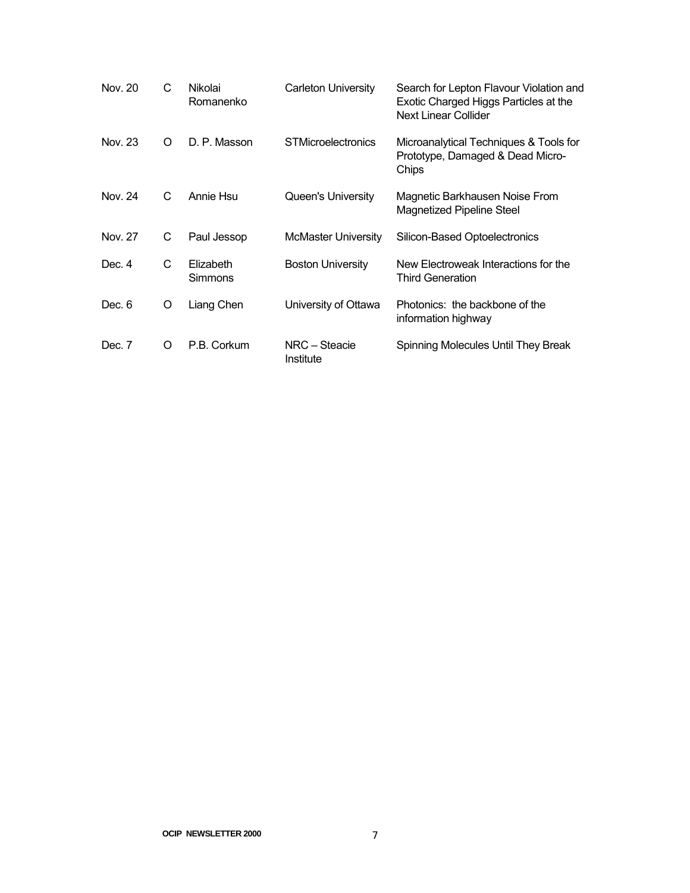| Nov. 20 | C | Nikolai<br>Romanenko        | <b>Carleton University</b> | Search for Lepton Flavour Violation and<br>Exotic Charged Higgs Particles at the<br>Next Linear Collider |
|---------|---|-----------------------------|----------------------------|----------------------------------------------------------------------------------------------------------|
| Nov. 23 | O | D. P. Masson                | <b>STMicroelectronics</b>  | Microanalytical Techniques & Tools for<br>Prototype, Damaged & Dead Micro-<br>Chips                      |
| Nov. 24 | C | Annie Hsu                   | Queen's University         | Magnetic Barkhausen Noise From<br><b>Magnetized Pipeline Steel</b>                                       |
| Nov. 27 | С | Paul Jessop                 | McMaster University        | Silicon-Based Optoelectronics                                                                            |
| Dec. 4  | C | Elizabeth<br><b>Simmons</b> | <b>Boston University</b>   | New Electroweak Interactions for the<br><b>Third Generation</b>                                          |
| Dec. 6  | O | Liang Chen                  | University of Ottawa       | Photonics: the backbone of the<br>information highway                                                    |
| Dec. 7  | O | P.B. Corkum                 | NRC - Steacie<br>Institute | Spinning Molecules Until They Break                                                                      |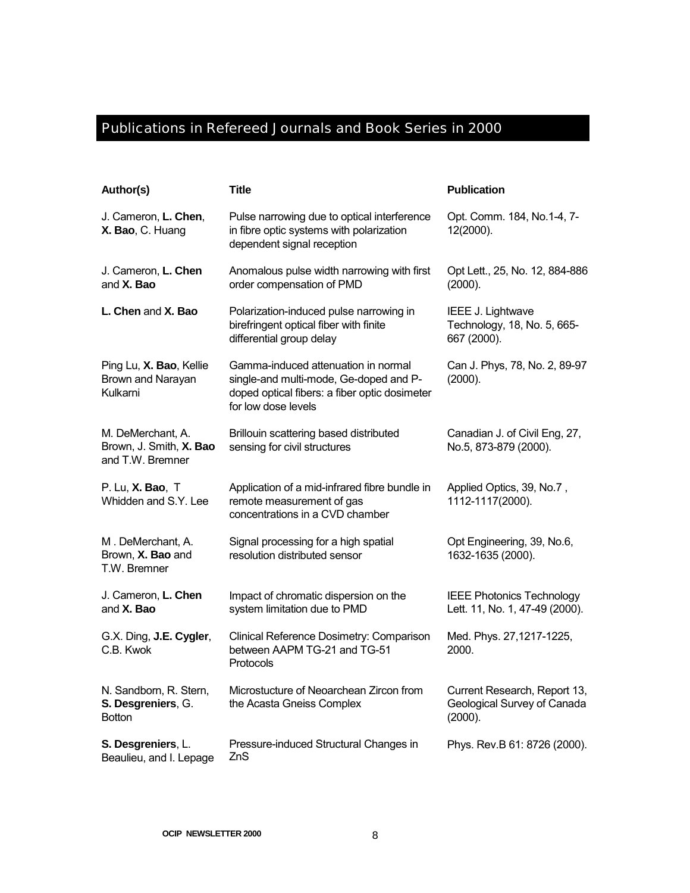## Publications in Refereed Journals and Book Series in 2000

| Author(s)                                                        | <b>Title</b>                                                                                                                                          | <b>Publication</b>                                                     |
|------------------------------------------------------------------|-------------------------------------------------------------------------------------------------------------------------------------------------------|------------------------------------------------------------------------|
| J. Cameron, L. Chen,<br>X. Bao, C. Huang                         | Pulse narrowing due to optical interference<br>in fibre optic systems with polarization<br>dependent signal reception                                 | Opt. Comm. 184, No.1-4, 7-<br>12(2000).                                |
| J. Cameron, L. Chen<br>and X. Bao                                | Anomalous pulse width narrowing with first<br>order compensation of PMD                                                                               | Opt Lett., 25, No. 12, 884-886<br>(2000).                              |
| L. Chen and X. Bao                                               | Polarization-induced pulse narrowing in<br>birefringent optical fiber with finite<br>differential group delay                                         | IEEE J. Lightwave<br>Technology, 18, No. 5, 665-<br>667 (2000).        |
| Ping Lu, X. Bao, Kellie<br>Brown and Narayan<br>Kulkarni         | Gamma-induced attenuation in normal<br>single-and multi-mode, Ge-doped and P-<br>doped optical fibers: a fiber optic dosimeter<br>for low dose levels | Can J. Phys, 78, No. 2, 89-97<br>(2000).                               |
| M. DeMerchant, A.<br>Brown, J. Smith, X. Bao<br>and T.W. Bremner | Brillouin scattering based distributed<br>sensing for civil structures                                                                                | Canadian J. of Civil Eng, 27,<br>No.5, 873-879 (2000).                 |
| P. Lu, X. Bao, T<br>Whidden and S.Y. Lee                         | Application of a mid-infrared fibre bundle in<br>remote measurement of gas<br>concentrations in a CVD chamber                                         | Applied Optics, 39, No.7,<br>1112-1117(2000).                          |
| M. DeMerchant, A.<br>Brown, X. Bao and<br>T.W. Bremner           | Signal processing for a high spatial<br>resolution distributed sensor                                                                                 | Opt Engineering, 39, No.6,<br>1632-1635 (2000).                        |
| J. Cameron, L. Chen<br>and <b>X. Bao</b>                         | Impact of chromatic dispersion on the<br>system limitation due to PMD                                                                                 | <b>IEEE Photonics Technology</b><br>Lett. 11, No. 1, 47-49 (2000).     |
| G.X. Ding, J.E. Cygler,<br>C.B. Kwok                             | Clinical Reference Dosimetry: Comparison<br>between AAPM TG-21 and TG-51<br>Protocols                                                                 | Med. Phys. 27,1217-1225,<br>2000.                                      |
| N. Sandborn, R. Stern,<br>S. Desgreniers, G.<br><b>Botton</b>    | Microstucture of Neoarchean Zircon from<br>the Acasta Gneiss Complex                                                                                  | Current Research, Report 13,<br>Geological Survey of Canada<br>(2000). |
| S. Desgreniers, L.<br>Beaulieu, and I. Lepage                    | Pressure-induced Structural Changes in<br>ZnS                                                                                                         | Phys. Rev.B 61: 8726 (2000).                                           |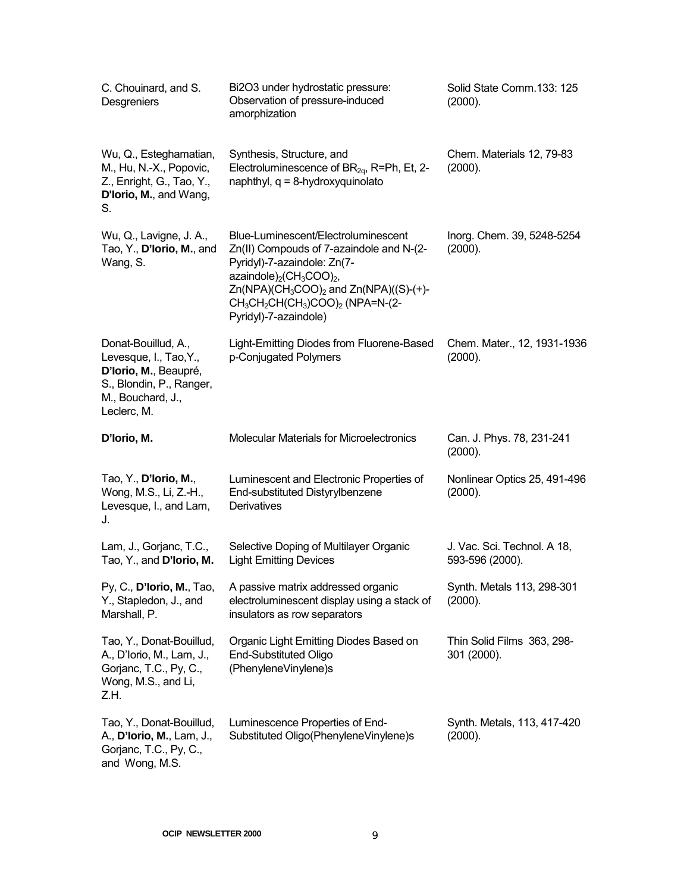| C. Chouinard, and S.<br>Desgreniers                                                                                                    | Bi2O3 under hydrostatic pressure:<br>Observation of pressure-induced<br>amorphization                                                                                                                                                                                                           | Solid State Comm.133: 125<br>(2000).           |
|----------------------------------------------------------------------------------------------------------------------------------------|-------------------------------------------------------------------------------------------------------------------------------------------------------------------------------------------------------------------------------------------------------------------------------------------------|------------------------------------------------|
| Wu, Q., Esteghamatian,<br>M., Hu, N.-X., Popovic,<br>Z., Enright, G., Tao, Y.,<br>D'Iorio, M., and Wang,<br>S.                         | Synthesis, Structure, and<br>Electroluminescence of $BR_{2q}$ , R=Ph, Et, 2-<br>naphthyl, $q = 8$ -hydroxyquinolato                                                                                                                                                                             | Chem. Materials 12, 79-83<br>(2000).           |
| Wu, Q., Lavigne, J. A.,<br>Tao, Y., D'Iorio, M., and<br>Wang, S.                                                                       | Blue-Luminescent/Electroluminescent<br>Zn(II) Compouds of 7-azaindole and N-(2-<br>Pyridyl)-7-azaindole: Zn(7-<br>azaindole) <sub>2</sub> ( $CH3COO$ ) <sub>2</sub> ,<br>$Zn(NPA)(CH_3COO)_2$ and $Zn(NPA)((S)-(+)$ -<br>$CH_3CH_2CH(CH_3)COO$ <sub>2</sub> (NPA=N-(2-<br>Pyridyl)-7-azaindole) | Inorg. Chem. 39, 5248-5254<br>(2000).          |
| Donat-Bouillud, A.,<br>Levesque, I., Tao, Y.,<br>D'Iorio, M., Beaupré,<br>S., Blondin, P., Ranger,<br>M., Bouchard, J.,<br>Leclerc, M. | Light-Emitting Diodes from Fluorene-Based<br>p-Conjugated Polymers                                                                                                                                                                                                                              | Chem. Mater., 12, 1931-1936<br>(2000).         |
| D'Iorio, M.                                                                                                                            | <b>Molecular Materials for Microelectronics</b>                                                                                                                                                                                                                                                 | Can. J. Phys. 78, 231-241<br>(2000).           |
| Tao, Y., D'Iorio, M.,<br>Wong, M.S., Li, Z.-H.,<br>Levesque, I., and Lam,<br>J.                                                        | Luminescent and Electronic Properties of<br>End-substituted Distyrylbenzene<br>Derivatives                                                                                                                                                                                                      | Nonlinear Optics 25, 491-496<br>(2000).        |
| Lam, J., Gorjanc, T.C.,<br>Tao, Y., and D'Iorio, M.                                                                                    | Selective Doping of Multilayer Organic<br><b>Light Emitting Devices</b>                                                                                                                                                                                                                         | J. Vac. Sci. Technol. A 18,<br>593-596 (2000). |
| Py, C., D'Iorio, M., Tao,<br>Y., Stapledon, J., and<br>Marshall, P.                                                                    | A passive matrix addressed organic<br>electroluminescent display using a stack of<br>insulators as row separators                                                                                                                                                                               | Synth. Metals 113, 298-301<br>(2000).          |
| Tao, Y., Donat-Bouillud,<br>A., D'Iorio, M., Lam, J.,<br>Gorjanc, T.C., Py, C.,<br>Wong, M.S., and Li,<br>Z.H.                         | Organic Light Emitting Diodes Based on<br><b>End-Substituted Oligo</b><br>(PhenyleneVinylene)s                                                                                                                                                                                                  | Thin Solid Films 363, 298-<br>301 (2000).      |
| Tao, Y., Donat-Bouillud,<br>A., D'Iorio, M., Lam, J.,<br>Gorjanc, T.C., Py, C.,<br>and Wong, M.S.                                      | Luminescence Properties of End-<br>Substituted Oligo(PhenyleneVinylene)s                                                                                                                                                                                                                        | Synth. Metals, 113, 417-420<br>(2000).         |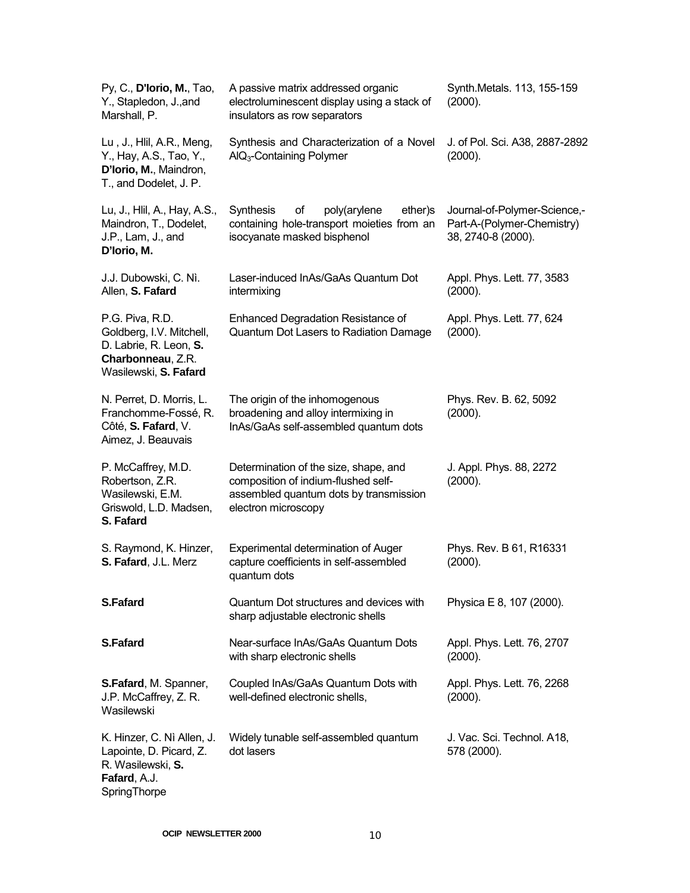| Py, C., D'Iorio, M., Tao,<br>Y., Stapledon, J., and<br>Marshall, P.                                                 | A passive matrix addressed organic<br>electroluminescent display using a stack of<br>insulators as row separators                             | Synth.Metals. 113, 155-159<br>(2000).                                            |
|---------------------------------------------------------------------------------------------------------------------|-----------------------------------------------------------------------------------------------------------------------------------------------|----------------------------------------------------------------------------------|
| Lu, J., Hlil, A.R., Meng,<br>Y., Hay, A.S., Tao, Y.,<br>D'Iorio, M., Maindron,<br>T., and Dodelet, J. P.            | Synthesis and Characterization of a Novel<br>AIQ <sub>3</sub> -Containing Polymer                                                             | J. of Pol. Sci. A38, 2887-2892<br>(2000).                                        |
| Lu, J., Hlil, A., Hay, A.S.,<br>Maindron, T., Dodelet,<br>J.P., Lam, J., and<br>D'Iorio, M.                         | <b>Synthesis</b><br>of<br>poly(arylene<br>ether)s<br>containing hole-transport moieties from an<br>isocyanate masked bisphenol                | Journal-of-Polymer-Science,-<br>Part-A-(Polymer-Chemistry)<br>38, 2740-8 (2000). |
| J.J. Dubowski, C. Nì.<br>Allen, S. Fafard                                                                           | Laser-induced InAs/GaAs Quantum Dot<br>intermixing                                                                                            | Appl. Phys. Lett. 77, 3583<br>(2000).                                            |
| P.G. Piva, R.D.<br>Goldberg, I.V. Mitchell,<br>D. Labrie, R. Leon, S.<br>Charbonneau, Z.R.<br>Wasilewski, S. Fafard | <b>Enhanced Degradation Resistance of</b><br>Quantum Dot Lasers to Radiation Damage                                                           | Appl. Phys. Lett. 77, 624<br>(2000).                                             |
| N. Perret, D. Morris, L.<br>Franchomme-Fossé, R.<br>Côté, S. Fafard, V.<br>Aimez, J. Beauvais                       | The origin of the inhomogenous<br>broadening and alloy intermixing in<br>InAs/GaAs self-assembled quantum dots                                | Phys. Rev. B. 62, 5092<br>(2000).                                                |
| P. McCaffrey, M.D.<br>Robertson, Z.R.<br>Wasilewski, E.M.<br>Griswold, L.D. Madsen,<br>S. Fafard                    | Determination of the size, shape, and<br>composition of indium-flushed self-<br>assembled quantum dots by transmission<br>electron microscopy | J. Appl. Phys. 88, 2272<br>(2000).                                               |
| S. Raymond, K. Hinzer,<br>S. Fafard, J.L. Merz                                                                      | <b>Experimental determination of Auger</b><br>capture coefficients in self-assembled<br>quantum dots                                          | Phys. Rev. B 61, R16331<br>(2000).                                               |
| <b>S.Fafard</b>                                                                                                     | Quantum Dot structures and devices with<br>sharp adjustable electronic shells                                                                 | Physica E 8, 107 (2000).                                                         |
| <b>S.Fafard</b>                                                                                                     | Near-surface InAs/GaAs Quantum Dots<br>with sharp electronic shells                                                                           | Appl. Phys. Lett. 76, 2707<br>(2000).                                            |
| S.Fafard, M. Spanner,<br>J.P. McCaffrey, Z.R.<br>Wasilewski                                                         | Coupled InAs/GaAs Quantum Dots with<br>well-defined electronic shells,                                                                        | Appl. Phys. Lett. 76, 2268<br>(2000).                                            |
| K. Hinzer, C. Nì Allen, J.<br>Lapointe, D. Picard, Z.<br>R. Wasilewski, S.<br>Fafard, A.J.<br>SpringThorpe          | Widely tunable self-assembled quantum<br>dot lasers                                                                                           | J. Vac. Sci. Technol. A18,<br>578 (2000).                                        |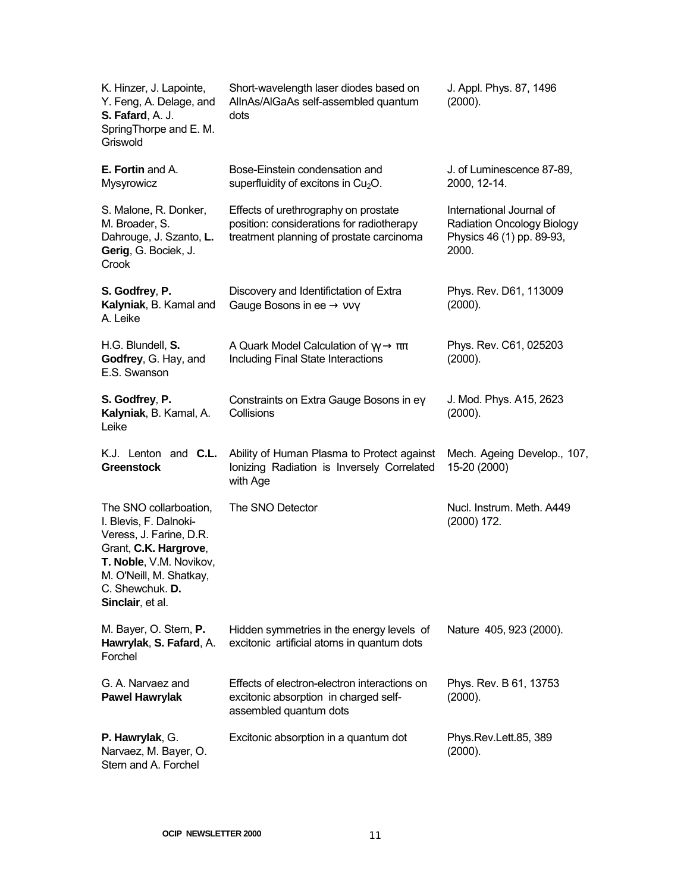| K. Hinzer, J. Lapointe,<br>Y. Feng, A. Delage, and<br>S. Fafard, A. J.<br>SpringThorpe and E. M.<br>Griswold                                                                                      | Short-wavelength laser diodes based on<br>AllnAs/AlGaAs self-assembled quantum<br>dots                                        | J. Appl. Phys. 87, 1496<br>(2000).                                                                  |
|---------------------------------------------------------------------------------------------------------------------------------------------------------------------------------------------------|-------------------------------------------------------------------------------------------------------------------------------|-----------------------------------------------------------------------------------------------------|
| <b>E. Fortin and A.</b><br>Mysyrowicz                                                                                                                                                             | Bose-Einstein condensation and<br>superfluidity of excitons in $Cu2O$ .                                                       | J. of Luminescence 87-89,<br>2000, 12-14.                                                           |
| S. Malone, R. Donker,<br>M. Broader, S.<br>Dahrouge, J. Szanto, L.<br>Gerig, G. Bociek, J.<br>Crook                                                                                               | Effects of urethrography on prostate<br>position: considerations for radiotherapy<br>treatment planning of prostate carcinoma | International Journal of<br><b>Radiation Oncology Biology</b><br>Physics 46 (1) pp. 89-93,<br>2000. |
| S. Godfrey, P.<br>Kalyniak, B. Kamal and<br>A. Leike                                                                                                                                              | Discovery and Identifictation of Extra<br>Gauge Bosons in ee $\rightarrow$ vv $\gamma$                                        | Phys. Rev. D61, 113009<br>(2000).                                                                   |
| H.G. Blundell, S.<br>Godfrey, G. Hay, and<br>E.S. Swanson                                                                                                                                         | A Quark Model Calculation of $\gamma \gamma \rightarrow \pi \pi$<br>Including Final State Interactions                        | Phys. Rev. C61, 025203<br>(2000).                                                                   |
| S. Godfrey, P.<br>Kalyniak, B. Kamal, A.<br>Leike                                                                                                                                                 | Constraints on Extra Gauge Bosons in ey<br>Collisions                                                                         | J. Mod. Phys. A15, 2623<br>(2000).                                                                  |
| K.J. Lenton and <b>C.L.</b><br><b>Greenstock</b>                                                                                                                                                  | Ability of Human Plasma to Protect against<br>Ionizing Radiation is Inversely Correlated<br>with Age                          | Mech. Ageing Develop., 107,<br>15-20 (2000)                                                         |
| The SNO collarboation,<br>I. Blevis, F. Dalnoki-<br>Veress, J. Farine, D.R.<br>Grant, C.K. Hargrove,<br>T. Noble, V.M. Novikov,<br>M. O'Neill, M. Shatkay,<br>C. Shewchuk. D.<br>Sinclair, et al. | The SNO Detector                                                                                                              | Nucl. Instrum. Meth. A449<br>$(2000)$ 172.                                                          |
| M. Bayer, O. Stern, P.<br>Hawrylak, S. Fafard, A.<br>Forchel                                                                                                                                      | Hidden symmetries in the energy levels of<br>excitonic artificial atoms in quantum dots                                       | Nature 405, 923 (2000).                                                                             |
| G. A. Narvaez and<br><b>Pawel Hawrylak</b>                                                                                                                                                        | Effects of electron-electron interactions on<br>excitonic absorption in charged self-<br>assembled quantum dots               | Phys. Rev. B 61, 13753<br>(2000).                                                                   |
| P. Hawrylak, G.<br>Narvaez, M. Bayer, O.<br>Stern and A. Forchel                                                                                                                                  | Excitonic absorption in a quantum dot                                                                                         | Phys.Rev.Lett.85, 389<br>(2000).                                                                    |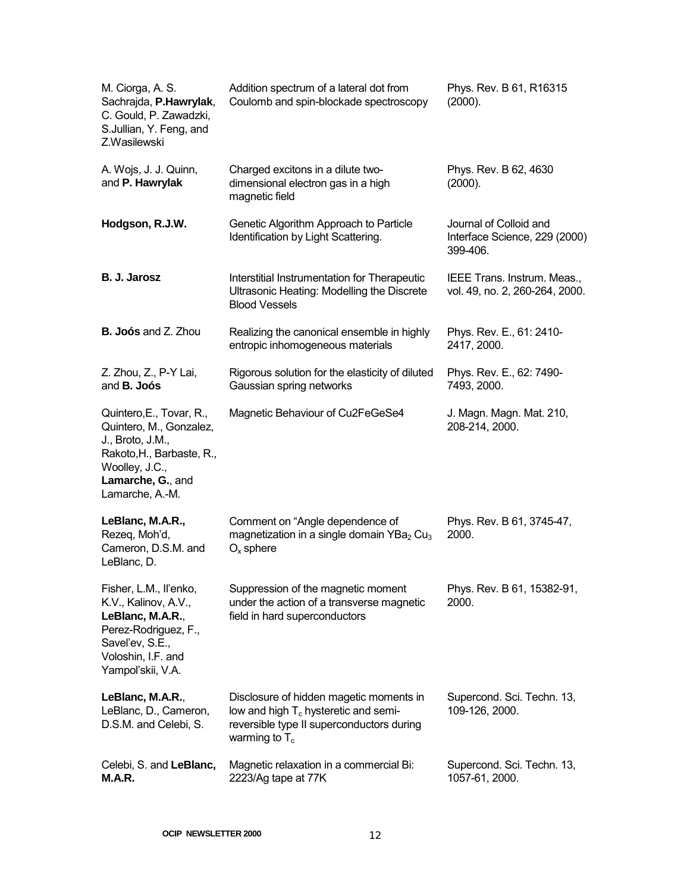| M. Ciorga, A. S.<br>Sachrajda, P.Hawrylak,<br>C. Gould, P. Zawadzki,<br>S.Jullian, Y. Feng, and<br>Z.Wasilewski                                                | Addition spectrum of a lateral dot from<br>Coulomb and spin-blockade spectroscopy                                                                   | Phys. Rev. B 61, R16315<br>(2000).                                  |
|----------------------------------------------------------------------------------------------------------------------------------------------------------------|-----------------------------------------------------------------------------------------------------------------------------------------------------|---------------------------------------------------------------------|
| A. Wojs, J. J. Quinn,<br>and P. Hawrylak                                                                                                                       | Charged excitons in a dilute two-<br>dimensional electron gas in a high<br>magnetic field                                                           | Phys. Rev. B 62, 4630<br>(2000).                                    |
| Hodgson, R.J.W.                                                                                                                                                | Genetic Algorithm Approach to Particle<br>Identification by Light Scattering.                                                                       | Journal of Colloid and<br>Interface Science, 229 (2000)<br>399-406. |
| B. J. Jarosz                                                                                                                                                   | Interstitial Instrumentation for Therapeutic<br>Ultrasonic Heating: Modelling the Discrete<br><b>Blood Vessels</b>                                  | IEEE Trans. Instrum. Meas.,<br>vol. 49, no. 2, 260-264, 2000.       |
| <b>B. Joós and Z. Zhou</b>                                                                                                                                     | Realizing the canonical ensemble in highly<br>entropic inhomogeneous materials                                                                      | Phys. Rev. E., 61: 2410-<br>2417, 2000.                             |
| Z. Zhou, Z., P-Y Lai,<br>and <b>B. Joós</b>                                                                                                                    | Rigorous solution for the elasticity of diluted<br>Gaussian spring networks                                                                         | Phys. Rev. E., 62: 7490-<br>7493, 2000.                             |
| Quintero, E., Tovar, R.,<br>Quintero, M., Gonzalez,<br>J., Broto, J.M.,<br>Rakoto, H., Barbaste, R.,<br>Woolley, J.C.,<br>Lamarche, G., and<br>Lamarche, A.-M. | Magnetic Behaviour of Cu2FeGeSe4                                                                                                                    | J. Magn. Magn. Mat. 210,<br>208-214, 2000.                          |
| LeBlanc, M.A.R.,<br>Rezeq, Moh'd,<br>Cameron, D.S.M. and<br>LeBlanc, D.                                                                                        | Comment on "Angle dependence of<br>magnetization in a single domain $YBa2 Cu3$<br>$O_x$ sphere                                                      | Phys. Rev. B 61, 3745-47,<br>2000.                                  |
| Fisher, L.M., Il'enko,<br>K.V., Kalinov, A.V.,<br>LeBlanc, M.A.R.,<br>Perez-Rodriguez, F.,<br>Savel'ev, S.E.,<br>Voloshin, I.F. and<br>Yampol'skii, V.A.       | Suppression of the magnetic moment<br>under the action of a transverse magnetic<br>field in hard superconductors                                    | Phys. Rev. B 61, 15382-91,<br>2000.                                 |
| LeBlanc, M.A.R.,<br>LeBlanc, D., Cameron,<br>D.S.M. and Celebi, S.                                                                                             | Disclosure of hidden magetic moments in<br>low and high $T_c$ hysteretic and semi-<br>reversible type II superconductors during<br>warming to $T_c$ | Supercond. Sci. Techn. 13,<br>109-126, 2000.                        |
| Celebi, S. and LeBlanc,<br>M.A.R.                                                                                                                              | Magnetic relaxation in a commercial Bi:<br>2223/Ag tape at 77K                                                                                      | Supercond. Sci. Techn. 13,<br>1057-61, 2000.                        |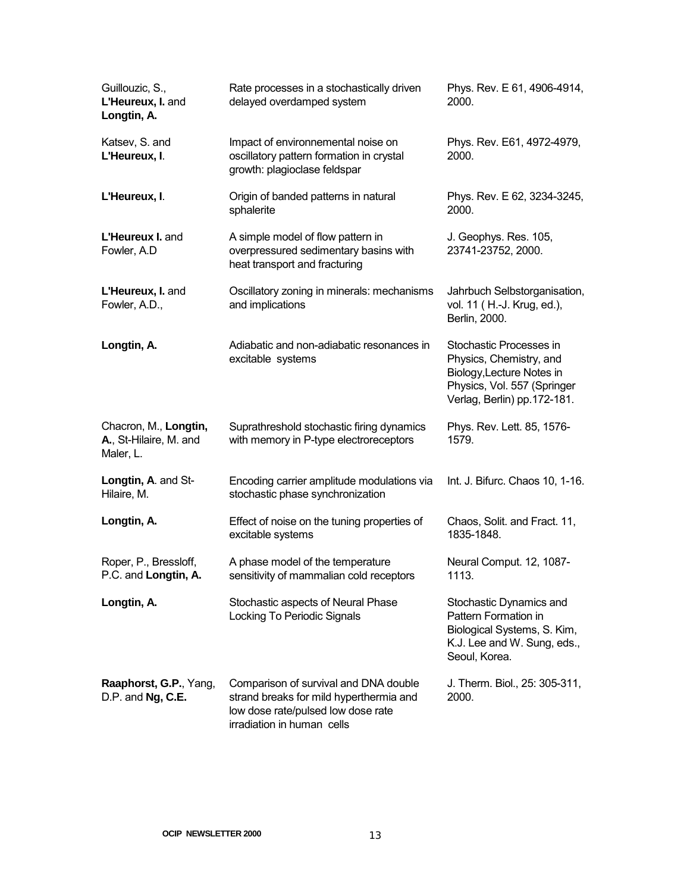| Guillouzic, S.,<br>L'Heureux, I. and<br>Longtin, A.          | Rate processes in a stochastically driven<br>delayed overdamped system                                                                               | Phys. Rev. E 61, 4906-4914,<br>2000.                                                                                                          |
|--------------------------------------------------------------|------------------------------------------------------------------------------------------------------------------------------------------------------|-----------------------------------------------------------------------------------------------------------------------------------------------|
| Katsev, S. and<br>L'Heureux, I.                              | Impact of environnemental noise on<br>oscillatory pattern formation in crystal<br>growth: plagioclase feldspar                                       | Phys. Rev. E61, 4972-4979,<br>2000.                                                                                                           |
| L'Heureux, I.                                                | Origin of banded patterns in natural<br>sphalerite                                                                                                   | Phys. Rev. E 62, 3234-3245,<br>2000.                                                                                                          |
| L'Heureux I. and<br>Fowler, A.D                              | A simple model of flow pattern in<br>overpressured sedimentary basins with<br>heat transport and fracturing                                          | J. Geophys. Res. 105,<br>23741-23752, 2000.                                                                                                   |
| L'Heureux, I. and<br>Fowler, A.D.,                           | Oscillatory zoning in minerals: mechanisms<br>and implications                                                                                       | Jahrbuch Selbstorganisation,<br>vol. 11 (H.-J. Krug, ed.),<br>Berlin, 2000.                                                                   |
| Longtin, A.                                                  | Adiabatic and non-adiabatic resonances in<br>excitable systems                                                                                       | Stochastic Processes in<br>Physics, Chemistry, and<br>Biology, Lecture Notes in<br>Physics, Vol. 557 (Springer<br>Verlag, Berlin) pp.172-181. |
| Chacron, M., Longtin,<br>A., St-Hilaire, M. and<br>Maler, L. | Suprathreshold stochastic firing dynamics<br>with memory in P-type electroreceptors                                                                  | Phys. Rev. Lett. 85, 1576-<br>1579.                                                                                                           |
| Longtin, A. and St-<br>Hilaire, M.                           | Encoding carrier amplitude modulations via<br>stochastic phase synchronization                                                                       | Int. J. Bifurc. Chaos 10, 1-16.                                                                                                               |
| Longtin, A.                                                  | Effect of noise on the tuning properties of<br>excitable systems                                                                                     | Chaos, Solit. and Fract. 11,<br>1835-1848.                                                                                                    |
| Roper, P., Bressloff,<br>P.C. and Longtin, A.                | A phase model of the temperature<br>sensitivity of mammalian cold receptors                                                                          | Neural Comput. 12, 1087-<br>1113.                                                                                                             |
| Longtin, A.                                                  | Stochastic aspects of Neural Phase<br>Locking To Periodic Signals                                                                                    | Stochastic Dynamics and<br>Pattern Formation in<br>Biological Systems, S. Kim,<br>K.J. Lee and W. Sung, eds.,<br>Seoul, Korea.                |
| Raaphorst, G.P., Yang,<br>D.P. and Ng, C.E.                  | Comparison of survival and DNA double<br>strand breaks for mild hyperthermia and<br>low dose rate/pulsed low dose rate<br>irradiation in human cells | J. Therm. Biol., 25: 305-311,<br>2000.                                                                                                        |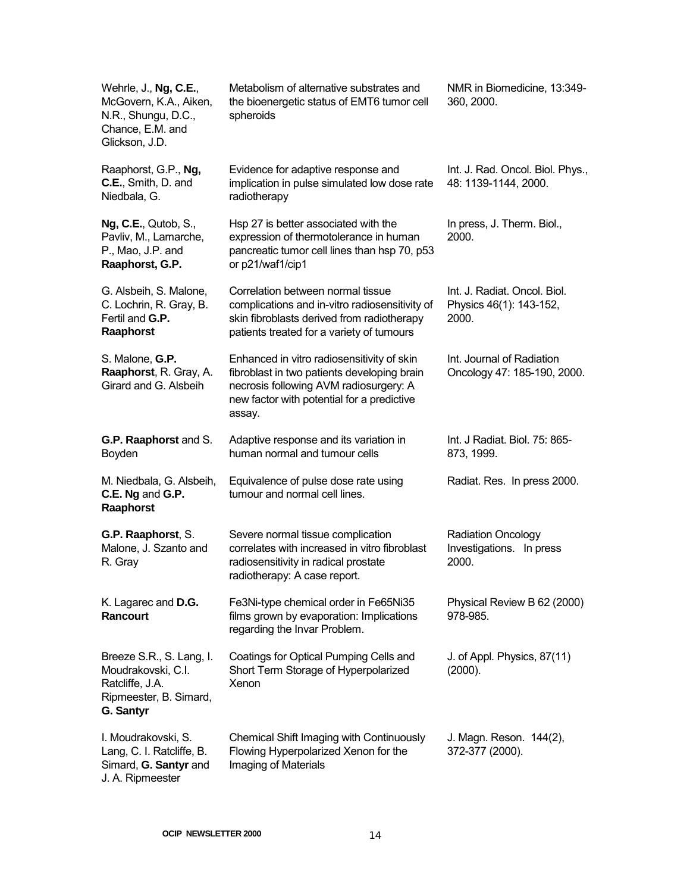| Wehrle, J., Ng, C.E.,<br>McGovern, K.A., Aiken,<br>N.R., Shungu, D.C.,<br>Chance, E.M. and<br>Glickson, J.D. | Metabolism of alternative substrates and<br>the bioenergetic status of EMT6 tumor cell<br>spheroids                                                                                         | NMR in Biomedicine, 13:349-<br>360, 2000.                        |
|--------------------------------------------------------------------------------------------------------------|---------------------------------------------------------------------------------------------------------------------------------------------------------------------------------------------|------------------------------------------------------------------|
| Raaphorst, G.P., Ng,<br>C.E., Smith, D. and<br>Niedbala, G.                                                  | Evidence for adaptive response and<br>implication in pulse simulated low dose rate<br>radiotherapy                                                                                          | Int. J. Rad. Oncol. Biol. Phys.,<br>48: 1139-1144, 2000.         |
| <b>Ng, C.E., Qutob, S.,</b><br>Pavliv, M., Lamarche,<br>P., Mao, J.P. and<br>Raaphorst, G.P.                 | Hsp 27 is better associated with the<br>expression of thermotolerance in human<br>pancreatic tumor cell lines than hsp 70, p53<br>or p21/waf1/cip1                                          | In press, J. Therm. Biol.,<br>2000.                              |
| G. Alsbeih, S. Malone,<br>C. Lochrin, R. Gray, B.<br>Fertil and G.P.<br>Raaphorst                            | Correlation between normal tissue<br>complications and in-vitro radiosensitivity of<br>skin fibroblasts derived from radiotherapy<br>patients treated for a variety of tumours              | Int. J. Radiat. Oncol. Biol.<br>Physics 46(1): 143-152,<br>2000. |
| S. Malone, G.P.<br>Raaphorst, R. Gray, A.<br>Girard and G. Alsbeih                                           | Enhanced in vitro radiosensitivity of skin<br>fibroblast in two patients developing brain<br>necrosis following AVM radiosurgery: A<br>new factor with potential for a predictive<br>assay. | Int. Journal of Radiation<br>Oncology 47: 185-190, 2000.         |
| G.P. Raaphorst and S.<br>Boyden                                                                              | Adaptive response and its variation in<br>human normal and tumour cells                                                                                                                     | Int. J Radiat. Biol. 75: 865-<br>873, 1999.                      |
| M. Niedbala, G. Alsbeih,<br>C.E. Ng and G.P.<br>Raaphorst                                                    | Equivalence of pulse dose rate using<br>tumour and normal cell lines.                                                                                                                       | Radiat. Res. In press 2000.                                      |
| G.P. Raaphorst, S.<br>Malone, J. Szanto and<br>R. Gray                                                       | Severe normal tissue complication<br>correlates with increased in vitro fibroblast<br>radiosensitivity in radical prostate<br>radiotherapy: A case report.                                  | <b>Radiation Oncology</b><br>Investigations. In press<br>2000.   |
| K. Lagarec and D.G.<br>Rancourt                                                                              | Fe3Ni-type chemical order in Fe65Ni35<br>films grown by evaporation: Implications<br>regarding the Invar Problem.                                                                           | Physical Review B 62 (2000)<br>978-985.                          |
| Breeze S.R., S. Lang, I.<br>Moudrakovski, C.I.<br>Ratcliffe, J.A.<br>Ripmeester, B. Simard,<br>G. Santyr     | Coatings for Optical Pumping Cells and<br>Short Term Storage of Hyperpolarized<br>Xenon                                                                                                     | J. of Appl. Physics, 87(11)<br>(2000).                           |
| I. Moudrakovski, S.<br>Lang, C. I. Ratcliffe, B.<br>Simard, G. Santyr and<br>J. A. Ripmeester                | Chemical Shift Imaging with Continuously<br>Flowing Hyperpolarized Xenon for the<br>Imaging of Materials                                                                                    | J. Magn. Reson. 144(2),<br>372-377 (2000).                       |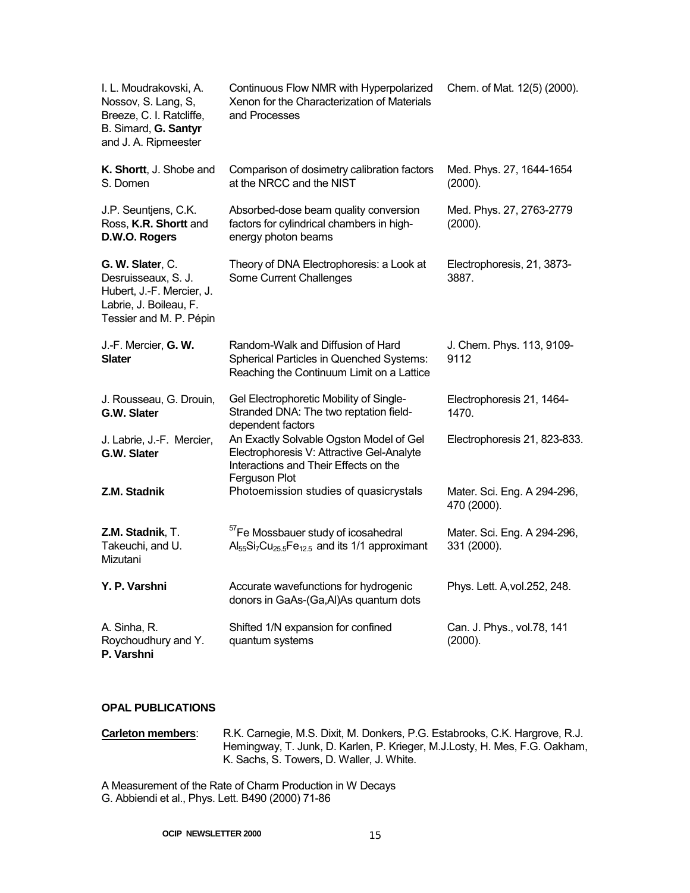| I. L. Moudrakovski, A.<br>Nossov, S. Lang, S,<br>Breeze, C. I. Ratcliffe,<br>B. Simard, G. Santyr<br>and J. A. Ripmeester | Continuous Flow NMR with Hyperpolarized<br>Xenon for the Characterization of Materials<br>and Processes                                           | Chem. of Mat. 12(5) (2000).                |
|---------------------------------------------------------------------------------------------------------------------------|---------------------------------------------------------------------------------------------------------------------------------------------------|--------------------------------------------|
| K. Shortt, J. Shobe and<br>S. Domen                                                                                       | Comparison of dosimetry calibration factors<br>at the NRCC and the NIST                                                                           | Med. Phys. 27, 1644-1654<br>(2000).        |
| J.P. Seuntjens, C.K.<br>Ross, K.R. Shortt and<br>D.W.O. Rogers                                                            | Absorbed-dose beam quality conversion<br>factors for cylindrical chambers in high-<br>energy photon beams                                         | Med. Phys. 27, 2763-2779<br>(2000).        |
| G. W. Slater, C.<br>Desruisseaux, S. J.<br>Hubert, J.-F. Mercier, J.<br>Labrie, J. Boileau, F.<br>Tessier and M. P. Pépin | Theory of DNA Electrophoresis: a Look at<br>Some Current Challenges                                                                               | Electrophoresis, 21, 3873-<br>3887.        |
| J.-F. Mercier, G. W.<br><b>Slater</b>                                                                                     | Random-Walk and Diffusion of Hard<br>Spherical Particles in Quenched Systems:<br>Reaching the Continuum Limit on a Lattice                        | J. Chem. Phys. 113, 9109-<br>9112          |
| J. Rousseau, G. Drouin,<br>G.W. Slater                                                                                    | Gel Electrophoretic Mobility of Single-<br>Stranded DNA: The two reptation field-<br>dependent factors                                            | Electrophoresis 21, 1464-<br>1470.         |
| J. Labrie, J.-F. Mercier,<br>G.W. Slater                                                                                  | An Exactly Solvable Ogston Model of Gel<br>Electrophoresis V: Attractive Gel-Analyte<br>Interactions and Their Effects on the                     | Electrophoresis 21, 823-833.               |
| Z.M. Stadnik                                                                                                              | Ferguson Plot<br>Photoemission studies of quasicrystals                                                                                           | Mater. Sci. Eng. A 294-296,<br>470 (2000). |
| Z.M. Stadnik, T.<br>Takeuchi, and U.<br>Mizutani                                                                          | <sup>57</sup> Fe Mossbauer study of icosahedral<br>Al <sub>55</sub> Si <sub>7</sub> Cu <sub>25.5</sub> Fe <sub>12.5</sub> and its 1/1 approximant | Mater. Sci. Eng. A 294-296,<br>331 (2000). |
| Y. P. Varshni                                                                                                             | Accurate wavefunctions for hydrogenic<br>donors in GaAs-(Ga,Al)As quantum dots                                                                    | Phys. Lett. A, vol. 252, 248.              |
| A. Sinha, R.<br>Roychoudhury and Y.<br>P. Varshni                                                                         | Shifted 1/N expansion for confined<br>quantum systems                                                                                             | Can. J. Phys., vol.78, 141<br>(2000).      |

#### **OPAL PUBLICATIONS**

**Carleton members**: R.K. Carnegie, M.S. Dixit, M. Donkers, P.G. Estabrooks, C.K. Hargrove, R.J. Hemingway, T. Junk, D. Karlen, P. Krieger, M.J.Losty, H. Mes, F.G. Oakham, K. Sachs, S. Towers, D. Waller, J. White.

A Measurement of the Rate of Charm Production in W Decays G. Abbiendi et al., Phys. Lett. B490 (2000) 71-86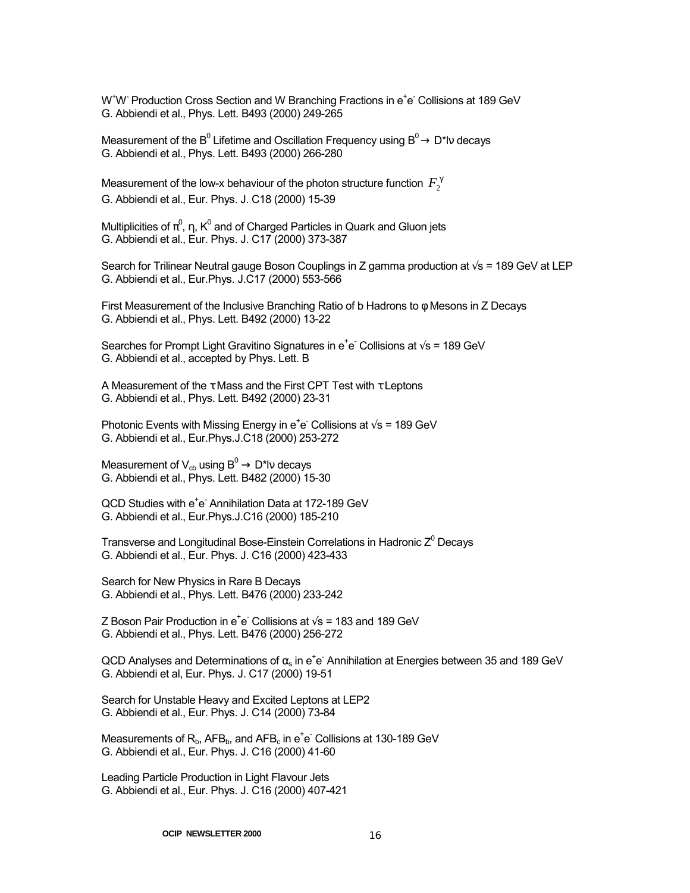W<sup>+</sup>W<sup>-</sup> Production Cross Section and W Branching Fractions in e<sup>+</sup>e Collisions at 189 GeV G. Abbiendi et al., Phys. Lett. B493 (2000) 249-265

Measurement of the B<sup>0</sup> Lifetime and Oscillation Frequency using B<sup>0</sup> $\rightarrow$  D\*lv decays G. Abbiendi et al., Phys. Lett. B493 (2000) 266-280

Measurement of the low-x behaviour of the photon structure function  $F_\gamma^\gamma$ G. Abbiendi et al., Eur. Phys. J. C18 (2000) 15-39

Multiplicities of  $\pi^0$ ,  $\eta$ , K $^0$  and of Charged Particles in Quark and Gluon jets G. Abbiendi et al., Eur. Phys. J. C17 (2000) 373-387

Search for Trilinear Neutral gauge Boson Couplings in Z gamma production at √s = 189 GeV at LEP G. Abbiendi et al., Eur.Phys. J.C17 (2000) 553-566

First Measurement of the Inclusive Branching Ratio of b Hadrons to φ Mesons in Z Decays G. Abbiendi et al., Phys. Lett. B492 (2000) 13-22

Searches for Prompt Light Gravitino Signatures in  $e^+e^-$  Collisions at  $\sqrt{s}$  = 189 GeV G. Abbiendi et al., accepted by Phys. Lett. B

A Measurement of the  $\tau$  Mass and the First CPT Test with  $\tau$  Leptons G. Abbiendi et al., Phys. Lett. B492 (2000) 23-31

Photonic Events with Missing Energy in  $e^+e^-$  Collisions at  $\sqrt{s}$  = 189 GeV G. Abbiendi et al., Eur.Phys.J.C18 (2000) 253-272

Measurement of  $V_{cb}$  using  $B^0 \rightarrow D^*N$  decays G. Abbiendi et al., Phys. Lett. B482 (2000) 15-30

QCD Studies with e<sup>+</sup>e<sup>-</sup> Annihilation Data at 172-189 GeV G. Abbiendi et al., Eur.Phys.J.C16 (2000) 185-210

Transverse and Longitudinal Bose-Einstein Correlations in Hadronic  $Z^0$  Decays G. Abbiendi et al., Eur. Phys. J. C16 (2000) 423-433

Search for New Physics in Rare B Decays G. Abbiendi et al., Phys. Lett. B476 (2000) 233-242

Z Boson Pair Production in  $e^+e^-$  Collisions at  $\sqrt{s}$  = 183 and 189 GeV G. Abbiendi et al., Phys. Lett. B476 (2000) 256-272

QCD Analyses and Determinations of  $\alpha_{\rm s}$  in e<sup>+</sup>e<sup>-</sup> Annihilation at Energies between 35 and 189 GeV G. Abbiendi et al, Eur. Phys. J. C17 (2000) 19-51

Search for Unstable Heavy and Excited Leptons at LEP2 G. Abbiendi et al., Eur. Phys. J. C14 (2000) 73-84

Measurements of  $R_b$ , AFB $_b$ , and AFB $_c$  in e<sup>+</sup>e<sup>-</sup> Collisions at 130-189 GeV G. Abbiendi et al., Eur. Phys. J. C16 (2000) 41-60

Leading Particle Production in Light Flavour Jets G. Abbiendi et al., Eur. Phys. J. C16 (2000) 407-421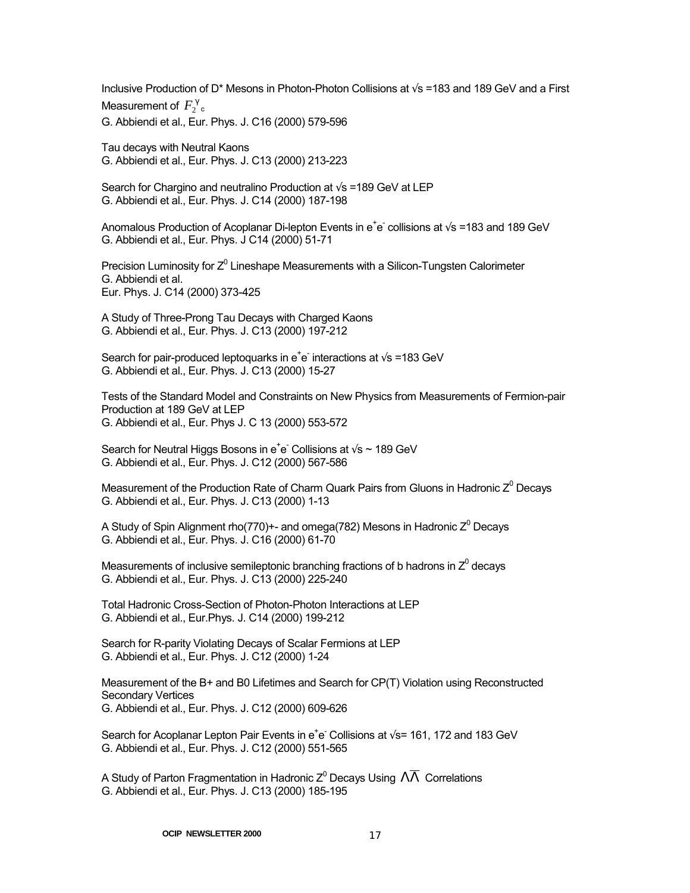Inclusive Production of D\* Mesons in Photon-Photon Collisions at √s =183 and 189 GeV and a First Measurement of  $F^{\gamma}_{2}$ <sub>c</sub> G. Abbiendi et al., Eur. Phys. J. C16 (2000) 579-596

Tau decays with Neutral Kaons G. Abbiendi et al., Eur. Phys. J. C13 (2000) 213-223

Search for Chargino and neutralino Production at  $\sqrt{s}$  =189 GeV at LEP G. Abbiendi et al., Eur. Phys. J. C14 (2000) 187-198

Anomalous Production of Acoplanar Di-lepton Events in  $e^+e^-$  collisions at  $\sqrt{s}$  =183 and 189 GeV G. Abbiendi et al., Eur. Phys. J C14 (2000) 51-71

Precision Luminosity for  $Z^0$  Lineshape Measurements with a Silicon-Tungsten Calorimeter G. Abbiendi et al. Eur. Phys. J. C14 (2000) 373-425

A Study of Three-Prong Tau Decays with Charged Kaons G. Abbiendi et al., Eur. Phys. J. C13 (2000) 197-212

Search for pair-produced leptoquarks in e<sup>+</sup>e<sup>-</sup> interactions at  $\sqrt{s}$  =183 GeV G. Abbiendi et al., Eur. Phys. J. C13 (2000) 15-27

Tests of the Standard Model and Constraints on New Physics from Measurements of Fermion-pair Production at 189 GeV at LEP G. Abbiendi et al., Eur. Phys J. C 13 (2000) 553-572

Search for Neutral Higgs Bosons in e<sup>+</sup>e<sup>-</sup> Collisions at  $\sqrt{s} \sim 189$  GeV G. Abbiendi et al., Eur. Phys. J. C12 (2000) 567-586

Measurement of the Production Rate of Charm Quark Pairs from Gluons in Hadronic  $Z^0$  Decays G. Abbiendi et al., Eur. Phys. J. C13 (2000) 1-13

A Study of Spin Alignment rho(770)+- and omega(782) Mesons in Hadronic Z $^0$  Decays G. Abbiendi et al., Eur. Phys. J. C16 (2000) 61-70

Measurements of inclusive semileptonic branching fractions of b hadrons in  $Z^0$  decays G. Abbiendi et al., Eur. Phys. J. C13 (2000) 225-240

Total Hadronic Cross-Section of Photon-Photon Interactions at LEP G. Abbiendi et al., Eur.Phys. J. C14 (2000) 199-212

Search for R-parity Violating Decays of Scalar Fermions at LEP G. Abbiendi et al., Eur. Phys. J. C12 (2000) 1-24

Measurement of the B+ and B0 Lifetimes and Search for CP(T) Violation using Reconstructed Secondary Vertices G. Abbiendi et al., Eur. Phys. J. C12 (2000) 609-626

Search for Acoplanar Lepton Pair Events in e<sup>+</sup>e<sup>-</sup> Collisions at  $\sqrt{s}$ = 161, 172 and 183 GeV G. Abbiendi et al., Eur. Phys. J. C12 (2000) 551-565

A Study of Parton Fragmentation in Hadronic Z<sup>0</sup> Decays Using  $\,\Lambda\overline{\Lambda}\,$  Correlations G. Abbiendi et al., Eur. Phys. J. C13 (2000) 185-195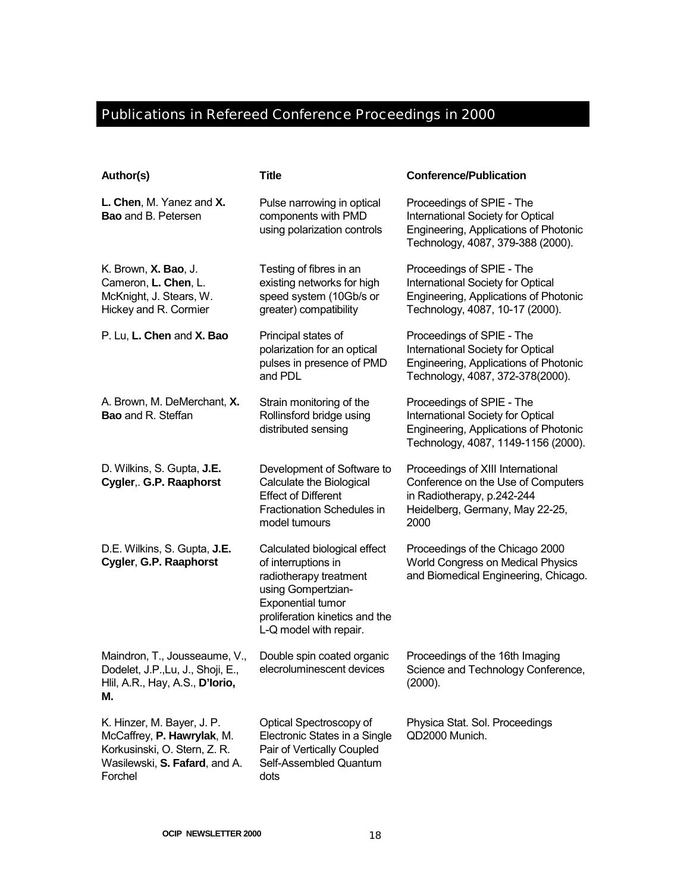## Publications in Refereed Conference Proceedings in 2000

| Author(s)                                                                                                                            | <b>Title</b>                                                                                                                                                                                | <b>Conference/Publication</b>                                                                                                                    |
|--------------------------------------------------------------------------------------------------------------------------------------|---------------------------------------------------------------------------------------------------------------------------------------------------------------------------------------------|--------------------------------------------------------------------------------------------------------------------------------------------------|
| L. Chen, M. Yanez and X.<br><b>Bao</b> and B. Petersen                                                                               | Pulse narrowing in optical<br>components with PMD<br>using polarization controls                                                                                                            | Proceedings of SPIE - The<br>International Society for Optical<br>Engineering, Applications of Photonic<br>Technology, 4087, 379-388 (2000).     |
| K. Brown, <b>X. Bao</b> , J.<br>Cameron, L. Chen, L.<br>McKnight, J. Stears, W.<br>Hickey and R. Cormier                             | Testing of fibres in an<br>existing networks for high<br>speed system (10Gb/s or<br>greater) compatibility                                                                                  | Proceedings of SPIE - The<br>International Society for Optical<br>Engineering, Applications of Photonic<br>Technology, 4087, 10-17 (2000).       |
| P. Lu, L. Chen and X. Bao                                                                                                            | Principal states of<br>polarization for an optical<br>pulses in presence of PMD<br>and PDL                                                                                                  | Proceedings of SPIE - The<br>International Society for Optical<br>Engineering, Applications of Photonic<br>Technology, 4087, 372-378(2000).      |
| A. Brown, M. DeMerchant, X.<br><b>Bao</b> and R. Steffan                                                                             | Strain monitoring of the<br>Rollinsford bridge using<br>distributed sensing                                                                                                                 | Proceedings of SPIE - The<br>International Society for Optical<br>Engineering, Applications of Photonic<br>Technology, 4087, 1149-1156 (2000).   |
| D. Wilkins, S. Gupta, J.E.<br>Cygler, G.P. Raaphorst                                                                                 | Development of Software to<br>Calculate the Biological<br><b>Effect of Different</b><br>Fractionation Schedules in<br>model tumours                                                         | Proceedings of XIII International<br>Conference on the Use of Computers<br>in Radiotherapy, p.242-244<br>Heidelberg, Germany, May 22-25,<br>2000 |
| D.E. Wilkins, S. Gupta, J.E.<br>Cygler, G.P. Raaphorst                                                                               | Calculated biological effect<br>of interruptions in<br>radiotherapy treatment<br>using Gompertzian-<br><b>Exponential tumor</b><br>proliferation kinetics and the<br>L-Q model with repair. | Proceedings of the Chicago 2000<br>World Congress on Medical Physics<br>and Biomedical Engineering, Chicago.                                     |
| Maindron, T., Jousseaume, V.,<br>Dodelet, J.P., Lu, J., Shoji, E.,<br>Hlil, A.R., Hay, A.S., D'Iorio,<br>м.                          | Double spin coated organic<br>elecroluminescent devices                                                                                                                                     | Proceedings of the 16th Imaging<br>Science and Technology Conference,<br>(2000).                                                                 |
| K. Hinzer, M. Bayer, J. P.<br>McCaffrey, P. Hawrylak, M.<br>Korkusinski, O. Stern, Z. R.<br>Wasilewski, S. Fafard, and A.<br>Forchel | Optical Spectroscopy of<br>Electronic States in a Single<br>Pair of Vertically Coupled<br>Self-Assembled Quantum<br>dots                                                                    | Physica Stat. Sol. Proceedings<br>QD2000 Munich.                                                                                                 |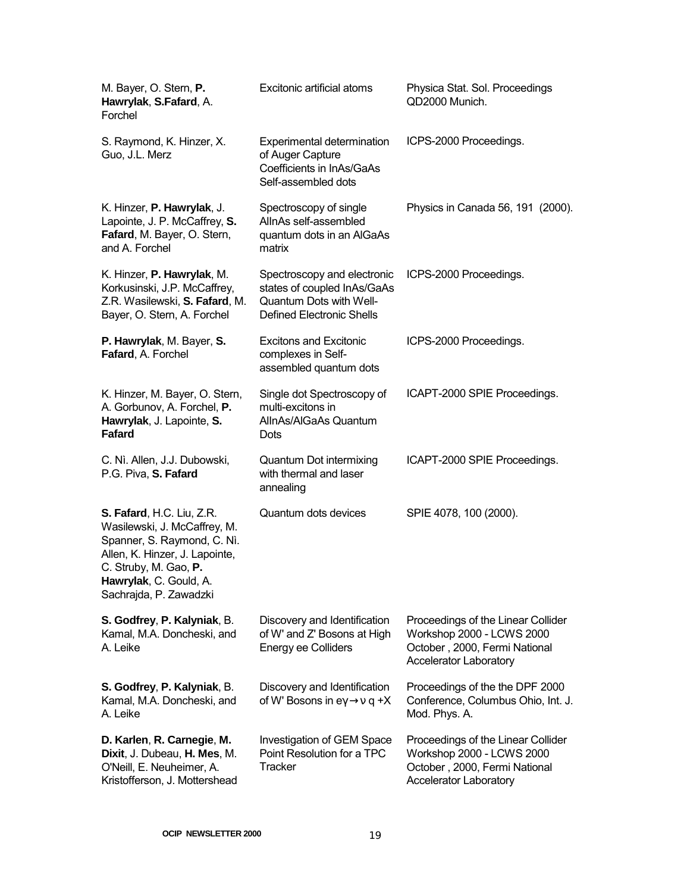| M. Bayer, O. Stern, P.<br>Hawrylak, S.Fafard, A.<br>Forchel                                                                                                                                             | Excitonic artificial atoms                                                                                                | Physica Stat. Sol. Proceedings<br>QD2000 Munich.                                                                                  |
|---------------------------------------------------------------------------------------------------------------------------------------------------------------------------------------------------------|---------------------------------------------------------------------------------------------------------------------------|-----------------------------------------------------------------------------------------------------------------------------------|
| S. Raymond, K. Hinzer, X.<br>Guo, J.L. Merz                                                                                                                                                             | Experimental determination<br>of Auger Capture<br>Coefficients in InAs/GaAs<br>Self-assembled dots                        | ICPS-2000 Proceedings.                                                                                                            |
| K. Hinzer, P. Hawrylak, J.<br>Lapointe, J. P. McCaffrey, S.<br>Fafard, M. Bayer, O. Stern,<br>and A. Forchel                                                                                            | Spectroscopy of single<br>AllnAs self-assembled<br>quantum dots in an AlGaAs<br>matrix                                    | Physics in Canada 56, 191 (2000).                                                                                                 |
| K. Hinzer, P. Hawrylak, M.<br>Korkusinski, J.P. McCaffrey,<br>Z.R. Wasilewski, S. Fafard, M.<br>Bayer, O. Stern, A. Forchel                                                                             | Spectroscopy and electronic<br>states of coupled InAs/GaAs<br>Quantum Dots with Well-<br><b>Defined Electronic Shells</b> | ICPS-2000 Proceedings.                                                                                                            |
| P. Hawrylak, M. Bayer, S.<br>Fafard, A. Forchel                                                                                                                                                         | <b>Excitons and Excitonic</b><br>complexes in Self-<br>assembled quantum dots                                             | ICPS-2000 Proceedings.                                                                                                            |
| K. Hinzer, M. Bayer, O. Stern,<br>A. Gorbunov, A. Forchel, P.<br>Hawrylak, J. Lapointe, S.<br><b>Fafard</b>                                                                                             | Single dot Spectroscopy of<br>multi-excitons in<br>AllnAs/AlGaAs Quantum<br>Dots                                          | ICAPT-2000 SPIE Proceedings.                                                                                                      |
| C. Nì. Allen, J.J. Dubowski,<br>P.G. Piva, S. Fafard                                                                                                                                                    | Quantum Dot intermixing<br>with thermal and laser<br>annealing                                                            | ICAPT-2000 SPIE Proceedings.                                                                                                      |
| S. Fafard, H.C. Liu, Z.R.<br>Wasilewski, J. McCaffrey, M.<br>Spanner, S. Raymond, C. Nì.<br>Allen, K. Hinzer, J. Lapointe,<br>C. Struby, M. Gao, P.<br>Hawrylak, C. Gould, A.<br>Sachrajda, P. Zawadzki | Quantum dots devices                                                                                                      | SPIE 4078, 100 (2000).                                                                                                            |
| S. Godfrey, P. Kalyniak, B.<br>Kamal, M.A. Doncheski, and<br>A. Leike                                                                                                                                   | Discovery and Identification<br>of W' and Z' Bosons at High<br><b>Energy ee Colliders</b>                                 | Proceedings of the Linear Collider<br>Workshop 2000 - LCWS 2000<br>October, 2000, Fermi National<br>Accelerator Laboratory        |
| S. Godfrey, P. Kalyniak, B.<br>Kamal, M.A. Doncheski, and<br>A. Leike                                                                                                                                   | Discovery and Identification<br>of W' Bosons in $ey \rightarrow v q + X$                                                  | Proceedings of the the DPF 2000<br>Conference, Columbus Ohio, Int. J.<br>Mod. Phys. A.                                            |
| D. Karlen, R. Carnegie, M.<br>Dixit, J. Dubeau, H. Mes, M.<br>O'Neill, E. Neuheimer, A.<br>Kristofferson, J. Mottershead                                                                                | Investigation of GEM Space<br>Point Resolution for a TPC<br>Tracker                                                       | Proceedings of the Linear Collider<br>Workshop 2000 - LCWS 2000<br>October, 2000, Fermi National<br><b>Accelerator Laboratory</b> |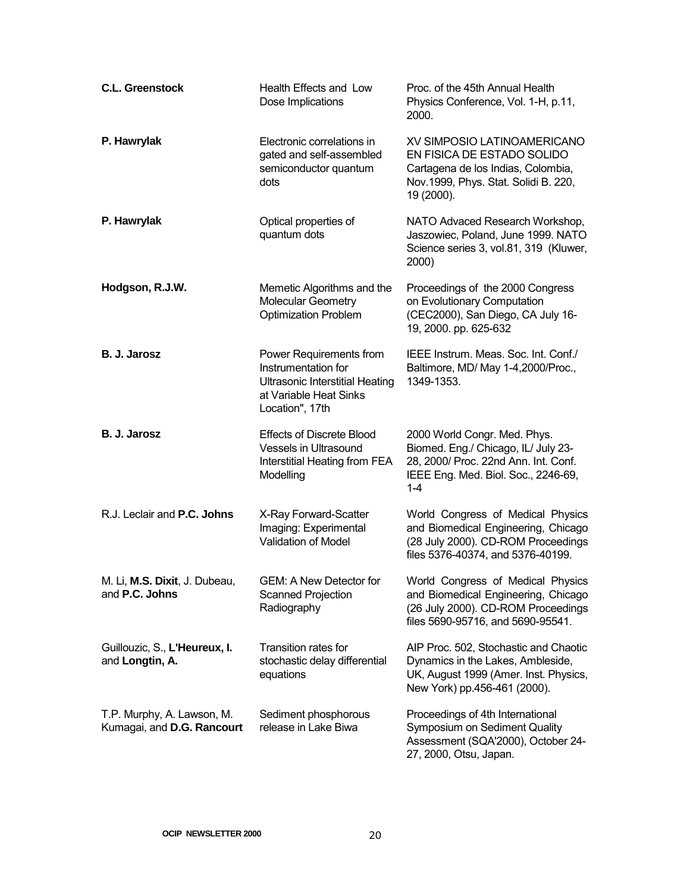| <b>C.L. Greenstock</b>                                   | Health Effects and Low<br>Dose Implications                                                                                           | Proc. of the 45th Annual Health<br>Physics Conference, Vol. 1-H, p.11,<br>2000.                                                                               |
|----------------------------------------------------------|---------------------------------------------------------------------------------------------------------------------------------------|---------------------------------------------------------------------------------------------------------------------------------------------------------------|
| P. Hawrylak                                              | Electronic correlations in<br>gated and self-assembled<br>semiconductor quantum<br>dots                                               | XV SIMPOSIO LATINOAMERICANO<br>EN FISICA DE ESTADO SOLIDO<br>Cartagena de los Indias, Colombia,<br>Nov.1999, Phys. Stat. Solidi B. 220,<br>19 (2000).         |
| P. Hawrylak                                              | Optical properties of<br>quantum dots                                                                                                 | NATO Advaced Research Workshop,<br>Jaszowiec, Poland, June 1999. NATO<br>Science series 3, vol.81, 319 (Kluwer,<br>2000)                                      |
| Hodgson, R.J.W.                                          | Memetic Algorithms and the<br><b>Molecular Geometry</b><br><b>Optimization Problem</b>                                                | Proceedings of the 2000 Congress<br>on Evolutionary Computation<br>(CEC2000), San Diego, CA July 16-<br>19, 2000. pp. 625-632                                 |
| B. J. Jarosz                                             | Power Requirements from<br>Instrumentation for<br><b>Ultrasonic Interstitial Heating</b><br>at Variable Heat Sinks<br>Location", 17th | IEEE Instrum. Meas. Soc. Int. Conf./<br>Baltimore, MD/ May 1-4,2000/Proc.,<br>1349-1353.                                                                      |
| B. J. Jarosz                                             | <b>Effects of Discrete Blood</b><br>Vessels in Ultrasound<br>Interstitial Heating from FEA<br>Modelling                               | 2000 World Congr. Med. Phys.<br>Biomed. Eng./ Chicago, IL/ July 23-<br>28, 2000/ Proc. 22nd Ann. Int. Conf.<br>IEEE Eng. Med. Biol. Soc., 2246-69,<br>$1 - 4$ |
| R.J. Leclair and P.C. Johns                              | X-Ray Forward-Scatter<br>Imaging: Experimental<br><b>Validation of Model</b>                                                          | World Congress of Medical Physics<br>and Biomedical Engineering, Chicago<br>(28 July 2000). CD-ROM Proceedings<br>files 5376-40374, and 5376-40199.           |
| M. Li, M.S. Dixit, J. Dubeau,<br>and P.C. Johns          | GEM: A New Detector for<br>Scanned Projection<br>Radiography                                                                          | World Congress of Medical Physics<br>and Biomedical Engineering, Chicago<br>(26 July 2000). CD-ROM Proceedings<br>files 5690-95716, and 5690-95541.           |
| Guillouzic, S., L'Heureux, I.<br>and Longtin, A.         | Transition rates for<br>stochastic delay differential<br>equations                                                                    | AIP Proc. 502, Stochastic and Chaotic<br>Dynamics in the Lakes, Ambleside,<br>UK, August 1999 (Amer. Inst. Physics,<br>New York) pp.456-461 (2000).           |
| T.P. Murphy, A. Lawson, M.<br>Kumagai, and D.G. Rancourt | Sediment phosphorous<br>release in Lake Biwa                                                                                          | Proceedings of 4th International<br>Symposium on Sediment Quality<br>Assessment (SQA'2000), October 24-<br>27, 2000, Otsu, Japan.                             |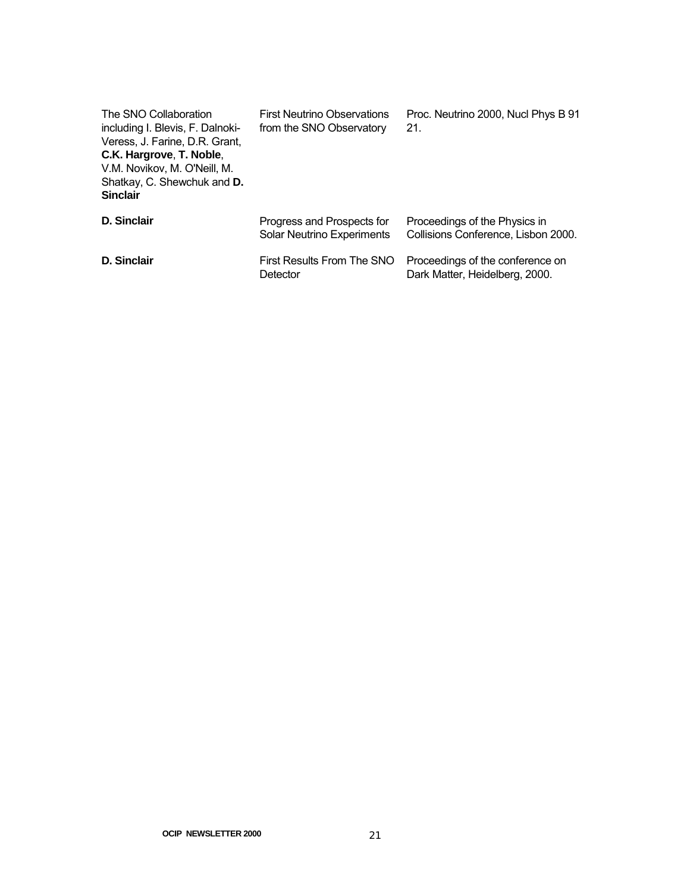| The SNO Collaboration<br>including I. Blevis, F. Dalnoki-<br>Veress, J. Farine, D.R. Grant,<br>C.K. Hargrove, T. Noble,<br>V.M. Novikov, M. O'Neill, M.<br>Shatkay, C. Shewchuk and D.<br><b>Sinclair</b> | <b>First Neutrino Observations</b><br>from the SNO Observatory  | Proc. Neutrino 2000, Nucl Phys B 91<br>21.                           |
|-----------------------------------------------------------------------------------------------------------------------------------------------------------------------------------------------------------|-----------------------------------------------------------------|----------------------------------------------------------------------|
| <b>D. Sinclair</b>                                                                                                                                                                                        | Progress and Prospects for<br><b>Solar Neutrino Experiments</b> | Proceedings of the Physics in<br>Collisions Conference, Lisbon 2000. |
| D. Sinclair                                                                                                                                                                                               | First Results From The SNO<br>Detector                          | Proceedings of the conference on<br>Dark Matter, Heidelberg, 2000.   |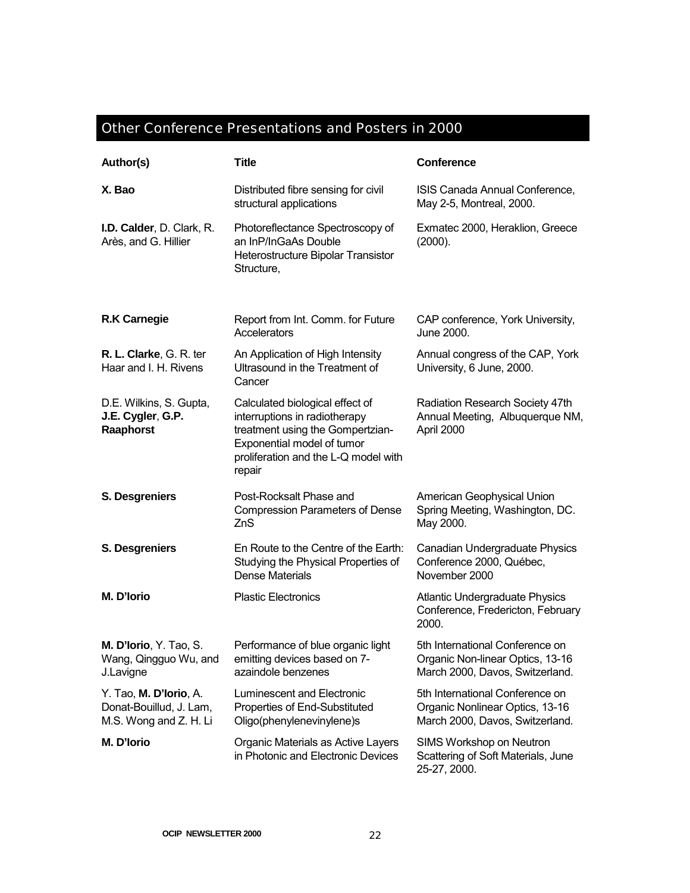## Other Conference Presentations and Posters in 2000

| Author(s)                                                                   | <b>Title</b>                                                                                                                                                                         | <b>Conference</b>                                                                                      |
|-----------------------------------------------------------------------------|--------------------------------------------------------------------------------------------------------------------------------------------------------------------------------------|--------------------------------------------------------------------------------------------------------|
| X. Bao                                                                      | Distributed fibre sensing for civil<br>structural applications                                                                                                                       | ISIS Canada Annual Conference,<br>May 2-5, Montreal, 2000.                                             |
| I.D. Calder, D. Clark, R.<br>Arès, and G. Hillier                           | Photoreflectance Spectroscopy of<br>an InP/InGaAs Double<br>Heterostructure Bipolar Transistor<br>Structure,                                                                         | Exmatec 2000, Heraklion, Greece<br>(2000).                                                             |
| <b>R.K Carnegie</b>                                                         | Report from Int. Comm. for Future<br>Accelerators                                                                                                                                    | CAP conference, York University,<br>June 2000.                                                         |
| R. L. Clarke, G. R. ter<br>Haar and I. H. Rivens                            | An Application of High Intensity<br>Ultrasound in the Treatment of<br>Cancer                                                                                                         | Annual congress of the CAP, York<br>University, 6 June, 2000.                                          |
| D.E. Wilkins, S. Gupta,<br>J.E. Cygler, G.P.<br>Raaphorst                   | Calculated biological effect of<br>interruptions in radiotherapy<br>treatment using the Gompertzian-<br>Exponential model of tumor<br>proliferation and the L-Q model with<br>repair | Radiation Research Society 47th<br>Annual Meeting, Albuquerque NM,<br>April 2000                       |
| S. Desgreniers                                                              | Post-Rocksalt Phase and<br><b>Compression Parameters of Dense</b><br>ZnS                                                                                                             | American Geophysical Union<br>Spring Meeting, Washington, DC.<br>May 2000.                             |
| S. Desgreniers                                                              | En Route to the Centre of the Earth:<br>Studying the Physical Properties of<br><b>Dense Materials</b>                                                                                | Canadian Undergraduate Physics<br>Conference 2000, Québec,<br>November 2000                            |
| M. D'Iorio                                                                  | <b>Plastic Electronics</b>                                                                                                                                                           | <b>Atlantic Undergraduate Physics</b><br>Conference, Fredericton, February<br>2000.                    |
| M. D'Iorio, Y. Tao, S.<br>Wang, Qingguo Wu, and<br>J.Lavigne                | Performance of blue organic light<br>emitting devices based on 7-<br>azaindole benzenes                                                                                              | 5th International Conference on<br>Organic Non-linear Optics, 13-16<br>March 2000, Davos, Switzerland. |
| Y. Tao, M. D'Iorio, A.<br>Donat-Bouillud, J. Lam,<br>M.S. Wong and Z. H. Li | Luminescent and Electronic<br>Properties of End-Substituted<br>Oligo(phenylenevinylene)s                                                                                             | 5th International Conference on<br>Organic Nonlinear Optics, 13-16<br>March 2000, Davos, Switzerland.  |
| M. D'Iorio                                                                  | Organic Materials as Active Layers<br>in Photonic and Electronic Devices                                                                                                             | SIMS Workshop on Neutron<br>Scattering of Soft Materials, June<br>25-27, 2000.                         |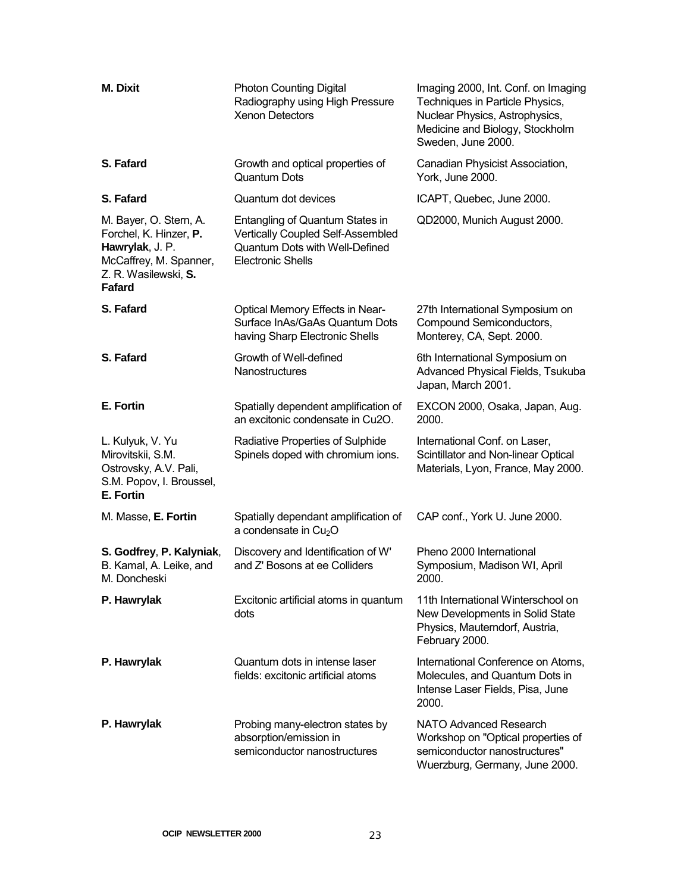| <b>M. Dixit</b>                                                                                                                 | <b>Photon Counting Digital</b><br>Radiography using High Pressure<br><b>Xenon Detectors</b>                                        | Imaging 2000, Int. Conf. on Imaging<br>Techniques in Particle Physics,<br>Nuclear Physics, Astrophysics,<br>Medicine and Biology, Stockholm<br>Sweden, June 2000. |
|---------------------------------------------------------------------------------------------------------------------------------|------------------------------------------------------------------------------------------------------------------------------------|-------------------------------------------------------------------------------------------------------------------------------------------------------------------|
| S. Fafard                                                                                                                       | Growth and optical properties of<br><b>Quantum Dots</b>                                                                            | Canadian Physicist Association,<br>York, June 2000.                                                                                                               |
| S. Fafard                                                                                                                       | Quantum dot devices                                                                                                                | ICAPT, Quebec, June 2000.                                                                                                                                         |
| M. Bayer, O. Stern, A.<br>Forchel, K. Hinzer, P.<br>Hawrylak, J. P.<br>McCaffrey, M. Spanner,<br>Z. R. Wasilewski, S.<br>Fafard | Entangling of Quantum States in<br>Vertically Coupled Self-Assembled<br>Quantum Dots with Well-Defined<br><b>Electronic Shells</b> | QD2000, Munich August 2000.                                                                                                                                       |
| S. Fafard                                                                                                                       | <b>Optical Memory Effects in Near-</b><br>Surface InAs/GaAs Quantum Dots<br>having Sharp Electronic Shells                         | 27th International Symposium on<br>Compound Semiconductors,<br>Monterey, CA, Sept. 2000.                                                                          |
| S. Fafard                                                                                                                       | Growth of Well-defined<br>Nanostructures                                                                                           | 6th International Symposium on<br>Advanced Physical Fields, Tsukuba<br>Japan, March 2001.                                                                         |
| E. Fortin                                                                                                                       | Spatially dependent amplification of<br>an excitonic condensate in Cu2O.                                                           | EXCON 2000, Osaka, Japan, Aug.<br>2000.                                                                                                                           |
| L. Kulyuk, V. Yu<br>Mirovitskii, S.M.<br>Ostrovsky, A.V. Pali,<br>S.M. Popov, I. Broussel,<br>E. Fortin                         | Radiative Properties of Sulphide<br>Spinels doped with chromium ions.                                                              | International Conf. on Laser,<br>Scintillator and Non-linear Optical<br>Materials, Lyon, France, May 2000.                                                        |
| M. Masse, E. Fortin                                                                                                             | Spatially dependant amplification of<br>a condensate in $Cu2O$                                                                     | CAP conf., York U. June 2000.                                                                                                                                     |
| S. Godfrey, P. Kalyniak,<br>B. Kamal, A. Leike, and<br>M. Doncheski                                                             | Discovery and Identification of W'<br>and Z' Bosons at ee Colliders                                                                | Pheno 2000 International<br>Symposium, Madison WI, April<br>2000.                                                                                                 |
| P. Hawrylak                                                                                                                     | Excitonic artificial atoms in quantum<br>dots                                                                                      | 11th International Winterschool on<br>New Developments in Solid State<br>Physics, Mauterndorf, Austria,<br>February 2000.                                         |
| P. Hawrylak                                                                                                                     | Quantum dots in intense laser<br>fields: excitonic artificial atoms                                                                | International Conference on Atoms,<br>Molecules, and Quantum Dots in<br>Intense Laser Fields, Pisa, June<br>2000.                                                 |
| P. Hawrylak                                                                                                                     | Probing many-electron states by<br>absorption/emission in<br>semiconductor nanostructures                                          | NATO Advanced Research<br>Workshop on "Optical properties of<br>semiconductor nanostructures"<br>Wuerzburg, Germany, June 2000.                                   |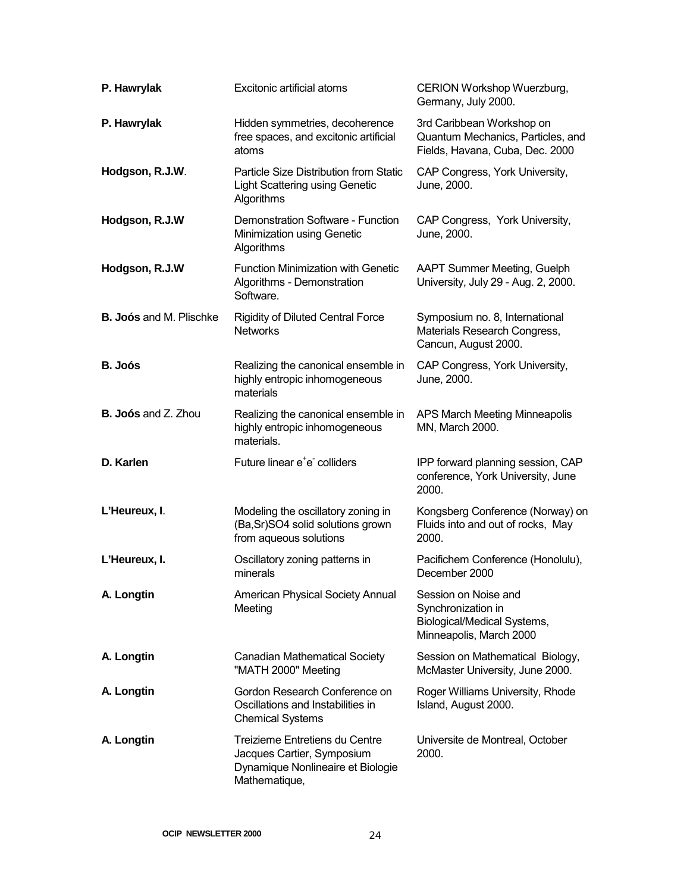| P. Hawrylak                    | Excitonic artificial atoms                                                                                         | CERION Workshop Wuerzburg,<br>Germany, July 2000.                                                    |
|--------------------------------|--------------------------------------------------------------------------------------------------------------------|------------------------------------------------------------------------------------------------------|
| P. Hawrylak                    | Hidden symmetries, decoherence<br>free spaces, and excitonic artificial<br>atoms                                   | 3rd Caribbean Workshop on<br>Quantum Mechanics, Particles, and<br>Fields, Havana, Cuba, Dec. 2000    |
| Hodgson, R.J.W.                | Particle Size Distribution from Static<br><b>Light Scattering using Genetic</b><br>Algorithms                      | CAP Congress, York University,<br>June, 2000.                                                        |
| Hodgson, R.J.W                 | Demonstration Software - Function<br>Minimization using Genetic<br>Algorithms                                      | CAP Congress, York University,<br>June, 2000.                                                        |
| Hodgson, R.J.W                 | <b>Function Minimization with Genetic</b><br>Algorithms - Demonstration<br>Software.                               | <b>AAPT Summer Meeting, Guelph</b><br>University, July 29 - Aug. 2, 2000.                            |
| <b>B. Joós and M. Plischke</b> | <b>Rigidity of Diluted Central Force</b><br><b>Networks</b>                                                        | Symposium no. 8, International<br>Materials Research Congress,<br>Cancun, August 2000.               |
| B. Joós                        | Realizing the canonical ensemble in<br>highly entropic inhomogeneous<br>materials                                  | CAP Congress, York University,<br>June, 2000.                                                        |
| <b>B. Joós and Z. Zhou</b>     | Realizing the canonical ensemble in<br>highly entropic inhomogeneous<br>materials.                                 | APS March Meeting Minneapolis<br>MN, March 2000.                                                     |
| D. Karlen                      | Future linear e <sup>+</sup> e colliders                                                                           | IPP forward planning session, CAP<br>conference, York University, June<br>2000.                      |
| L'Heureux, I.                  | Modeling the oscillatory zoning in<br>(Ba,Sr)SO4 solid solutions grown<br>from aqueous solutions                   | Kongsberg Conference (Norway) on<br>Fluids into and out of rocks, May<br>2000.                       |
| L'Heureux, I.                  | Oscillatory zoning patterns in<br>minerals                                                                         | Pacifichem Conference (Honolulu),<br>December 2000                                                   |
| A. Longtin                     | American Physical Society Annual<br>Meeting                                                                        | Session on Noise and<br>Synchronization in<br>Biological/Medical Systems,<br>Minneapolis, March 2000 |
| A. Longtin                     | <b>Canadian Mathematical Society</b><br>"MATH 2000" Meeting                                                        | Session on Mathematical Biology,<br>McMaster University, June 2000.                                  |
| A. Longtin                     | Gordon Research Conference on<br>Oscillations and Instabilities in<br><b>Chemical Systems</b>                      | Roger Williams University, Rhode<br>Island, August 2000.                                             |
| A. Longtin                     | Treizieme Entretiens du Centre<br>Jacques Cartier, Symposium<br>Dynamique Nonlineaire et Biologie<br>Mathematique, | Universite de Montreal, October<br>2000.                                                             |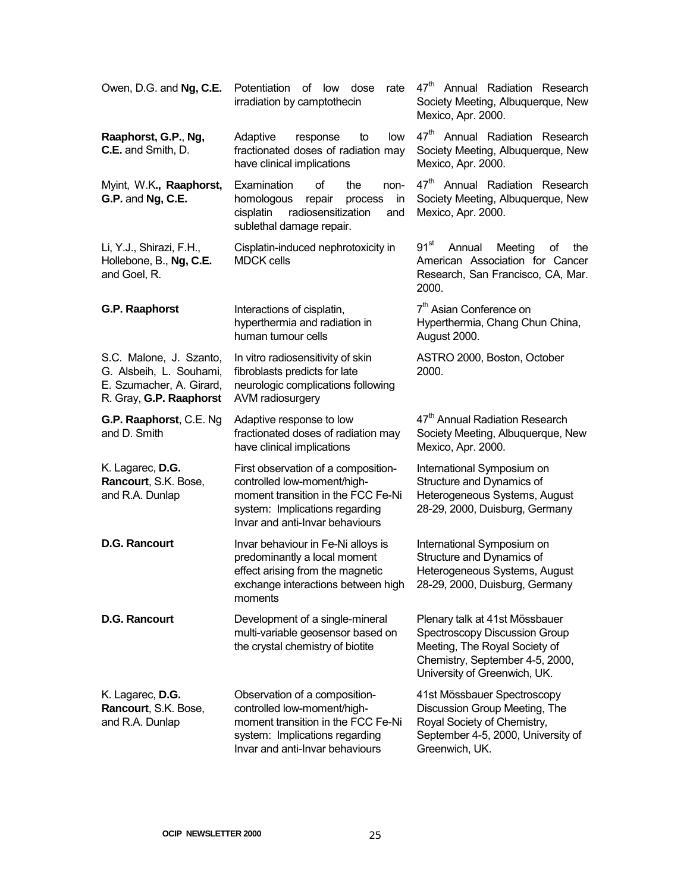| Owen, D.G. and Ng, C.E.                                                                                   | Potentiation<br>of low<br>dose<br>rate<br>irradiation by camptothecin                                                                                                                  | 47 <sup>th</sup> Annual Radiation Research<br>Society Meeting, Albuquerque, New<br>Mexico, Apr. 2000.                                                               |
|-----------------------------------------------------------------------------------------------------------|----------------------------------------------------------------------------------------------------------------------------------------------------------------------------------------|---------------------------------------------------------------------------------------------------------------------------------------------------------------------|
| Raaphorst, G.P., Ng,<br>C.E. and Smith, D.                                                                | Adaptive<br>low<br>response<br>to<br>fractionated doses of radiation may<br>have clinical implications                                                                                 | 47 <sup>th</sup> Annual Radiation Research<br>Society Meeting, Albuquerque, New<br>Mexico, Apr. 2000.                                                               |
| Myint, W.K., Raaphorst,<br>G.P. and Ng, C.E.                                                              | Examination<br>of<br>the<br>non-<br>homologous<br>repair<br>process<br>in<br>cisplatin<br>radiosensitization<br>and<br>sublethal damage repair.                                        | 47 <sup>th</sup> Annual Radiation Research<br>Society Meeting, Albuquerque, New<br>Mexico, Apr. 2000.                                                               |
| Li, Y.J., Shirazi, F.H.,<br>Hollebone, B., Ng, C.E.<br>and Goel, R.                                       | Cisplatin-induced nephrotoxicity in<br><b>MDCK cells</b>                                                                                                                               | $91^{st}$<br>Annual<br>Meeting<br>οf<br>the<br>American Association for Cancer<br>Research, San Francisco, CA, Mar.<br>2000.                                        |
| G.P. Raaphorst                                                                                            | Interactions of cisplatin,<br>hyperthermia and radiation in<br>human tumour cells                                                                                                      | 7 <sup>th</sup> Asian Conference on<br>Hyperthermia, Chang Chun China,<br>August 2000.                                                                              |
| S.C. Malone, J. Szanto,<br>G. Alsbeih, L. Souhami,<br>E. Szumacher, A. Girard,<br>R. Gray, G.P. Raaphorst | In vitro radiosensitivity of skin<br>fibroblasts predicts for late<br>neurologic complications following<br>AVM radiosurgery                                                           | ASTRO 2000, Boston, October<br>2000.                                                                                                                                |
| G.P. Raaphorst, C.E. Ng<br>and D. Smith                                                                   | Adaptive response to low<br>fractionated doses of radiation may<br>have clinical implications                                                                                          | 47 <sup>th</sup> Annual Radiation Research<br>Society Meeting, Albuquerque, New<br>Mexico, Apr. 2000.                                                               |
| K. Lagarec, D.G.<br>Rancourt, S.K. Bose,<br>and R.A. Dunlap                                               | First observation of a composition-<br>controlled low-moment/high-<br>moment transition in the FCC Fe-Ni<br>system: Implications regarding<br>Invar and anti-Invar behaviours          | International Symposium on<br>Structure and Dynamics of<br>Heterogeneous Systems, August<br>28-29, 2000, Duisburg, Germany                                          |
| <b>D.G. Rancourt</b>                                                                                      | Invar behaviour in Fe-Ni alloys is<br>predominantly a local moment<br>effect arising from the magnetic<br>exchange interactions between high 28-29, 2000, Duisburg, Germany<br>moments | International Symposium on<br>Structure and Dynamics of<br>Heterogeneous Systems, August                                                                            |
| <b>D.G. Rancourt</b>                                                                                      | Development of a single-mineral<br>multi-variable geosensor based on<br>the crystal chemistry of biotite                                                                               | Plenary talk at 41st Mössbauer<br>Spectroscopy Discussion Group<br>Meeting, The Royal Society of<br>Chemistry, September 4-5, 2000,<br>University of Greenwich, UK. |
| K. Lagarec, D.G.<br>Rancourt, S.K. Bose,<br>and R.A. Dunlap                                               | Observation of a composition-<br>controlled low-moment/high-<br>moment transition in the FCC Fe-Ni<br>system: Implications regarding<br>Invar and anti-Invar behaviours                | 41st Mössbauer Spectroscopy<br>Discussion Group Meeting, The<br>Royal Society of Chemistry,<br>September 4-5, 2000, University of<br>Greenwich, UK.                 |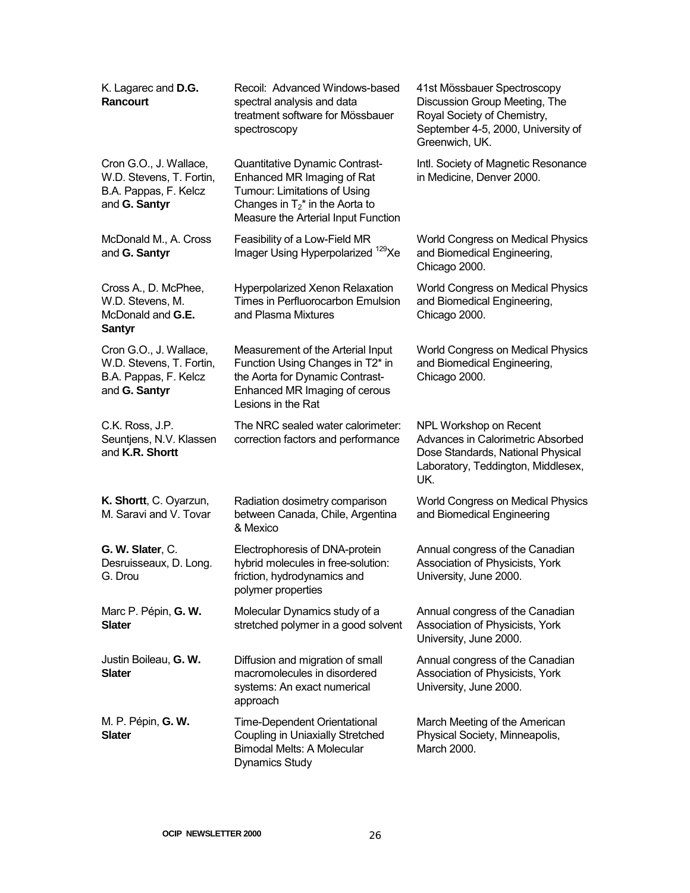| K. Lagarec and D.G.<br>Rancourt                                                              | Recoil: Advanced Windows-based<br>spectral analysis and data<br>treatment software for Mössbauer<br>spectroscopy                                                          | 41st Mössbauer Spectroscopy<br>Discussion Group Meeting, The<br>Royal Society of Chemistry,<br>September 4-5, 2000, University of<br>Greenwich, UK. |
|----------------------------------------------------------------------------------------------|---------------------------------------------------------------------------------------------------------------------------------------------------------------------------|-----------------------------------------------------------------------------------------------------------------------------------------------------|
| Cron G.O., J. Wallace,<br>W.D. Stevens, T. Fortin,<br>B.A. Pappas, F. Kelcz<br>and G. Santyr | Quantitative Dynamic Contrast-<br>Enhanced MR Imaging of Rat<br>Tumour: Limitations of Using<br>Changes in $T_2^*$ in the Aorta to<br>Measure the Arterial Input Function | Intl. Society of Magnetic Resonance<br>in Medicine, Denver 2000.                                                                                    |
| McDonald M., A. Cross<br>and G. Santyr                                                       | Feasibility of a Low-Field MR<br>Imager Using Hyperpolarized <sup>129</sup> Xe                                                                                            | World Congress on Medical Physics<br>and Biomedical Engineering,<br>Chicago 2000.                                                                   |
| Cross A., D. McPhee,<br>W.D. Stevens, M.<br>McDonald and G.E.<br><b>Santyr</b>               | Hyperpolarized Xenon Relaxation<br>Times in Perfluorocarbon Emulsion<br>and Plasma Mixtures                                                                               | World Congress on Medical Physics<br>and Biomedical Engineering,<br>Chicago 2000.                                                                   |
| Cron G.O., J. Wallace,<br>W.D. Stevens, T. Fortin,<br>B.A. Pappas, F. Kelcz<br>and G. Santyr | Measurement of the Arterial Input<br>Function Using Changes in T2* in<br>the Aorta for Dynamic Contrast-<br>Enhanced MR Imaging of cerous<br>Lesions in the Rat           | World Congress on Medical Physics<br>and Biomedical Engineering,<br>Chicago 2000.                                                                   |
| C.K. Ross, J.P.<br>Seuntjens, N.V. Klassen<br>and K.R. Shortt                                | The NRC sealed water calorimeter:<br>correction factors and performance                                                                                                   | NPL Workshop on Recent<br>Advances in Calorimetric Absorbed<br>Dose Standards, National Physical<br>Laboratory, Teddington, Middlesex,<br>UK.       |
| K. Shortt, C. Oyarzun,<br>M. Saravi and V. Tovar                                             | Radiation dosimetry comparison<br>between Canada, Chile, Argentina<br>& Mexico                                                                                            | World Congress on Medical Physics<br>and Biomedical Engineering                                                                                     |
| G. W. Slater, C.<br>Desruisseaux, D. Long.<br>G. Drou                                        | Electrophoresis of DNA-protein<br>hybrid molecules in free-solution:<br>friction, hydrodynamics and<br>polymer properties                                                 | Annual congress of the Canadian<br>Association of Physicists, York<br>University, June 2000.                                                        |
| Marc P. Pépin, G. W.<br><b>Slater</b>                                                        | Molecular Dynamics study of a<br>stretched polymer in a good solvent                                                                                                      | Annual congress of the Canadian<br>Association of Physicists, York<br>University, June 2000.                                                        |
| Justin Boileau, G. W.<br>Slater                                                              | Diffusion and migration of small<br>macromolecules in disordered<br>systems: An exact numerical<br>approach                                                               | Annual congress of the Canadian<br>Association of Physicists, York<br>University, June 2000.                                                        |
| M. P. Pépin, <b>G. W.</b><br><b>Slater</b>                                                   | <b>Time-Dependent Orientational</b><br>Coupling in Uniaxially Stretched<br><b>Bimodal Melts: A Molecular</b><br><b>Dynamics Study</b>                                     | March Meeting of the American<br>Physical Society, Minneapolis,<br>March 2000.                                                                      |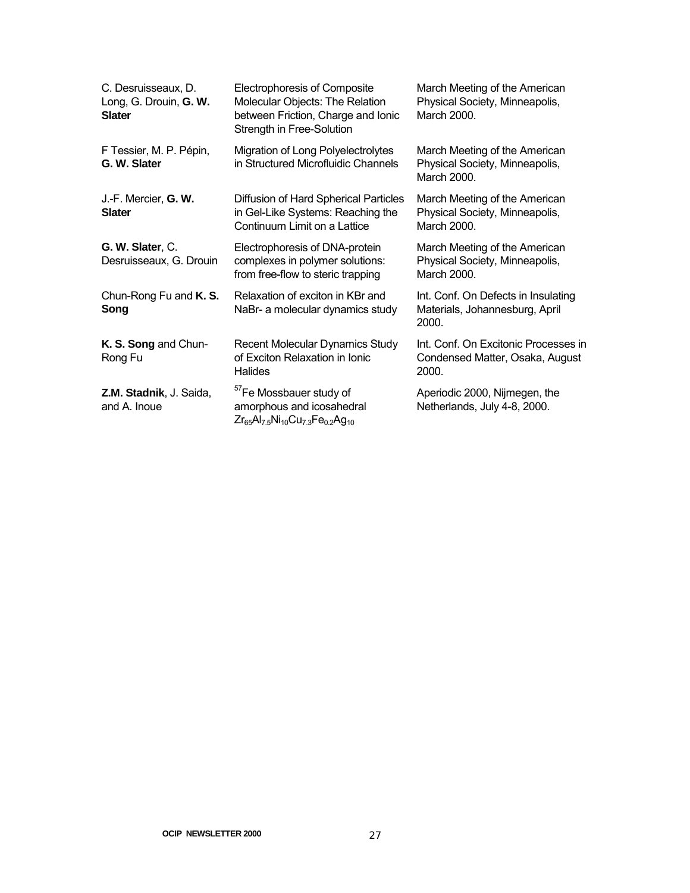| C. Desruisseaux, D.<br>Long, G. Drouin, G. W.<br><b>Slater</b> | Electrophoresis of Composite<br>Molecular Objects: The Relation<br>between Friction, Charge and Ionic<br>Strength in Free-Solution | March Meeting of the American<br>Physical Society, Minneapolis,<br>March 2000.   |
|----------------------------------------------------------------|------------------------------------------------------------------------------------------------------------------------------------|----------------------------------------------------------------------------------|
| F Tessier, M. P. Pépin,<br>G. W. Slater                        | Migration of Long Polyelectrolytes<br>in Structured Microfluidic Channels                                                          | March Meeting of the American<br>Physical Society, Minneapolis,<br>March 2000.   |
| J.-F. Mercier, G. W.<br><b>Slater</b>                          | Diffusion of Hard Spherical Particles<br>in Gel-Like Systems: Reaching the<br>Continuum Limit on a Lattice                         | March Meeting of the American<br>Physical Society, Minneapolis,<br>March 2000.   |
| G. W. Slater, C.<br>Desruisseaux, G. Drouin                    | Electrophoresis of DNA-protein<br>complexes in polymer solutions:<br>from free-flow to steric trapping                             | March Meeting of the American<br>Physical Society, Minneapolis,<br>March 2000.   |
| Chun-Rong Fu and K. S.<br>Song                                 | Relaxation of exciton in KBr and<br>NaBr- a molecular dynamics study                                                               | Int. Conf. On Defects in Insulating<br>Materials, Johannesburg, April<br>2000.   |
| K. S. Song and Chun-<br>Rong Fu                                | Recent Molecular Dynamics Study<br>of Exciton Relaxation in Ionic<br>Halides                                                       | Int. Conf. On Excitonic Processes in<br>Condensed Matter, Osaka, August<br>2000. |
| Z.M. Stadnik, J. Saida,<br>and A. Inoue                        | <sup>57</sup> Fe Mossbauer study of<br>amorphous and icosahedral<br>$Zr_{65}Al_{7.5}Ni_{10}Cu_{7.3}Fe_{0.2}Ag_{10}$                | Aperiodic 2000, Nijmegen, the<br>Netherlands, July 4-8, 2000.                    |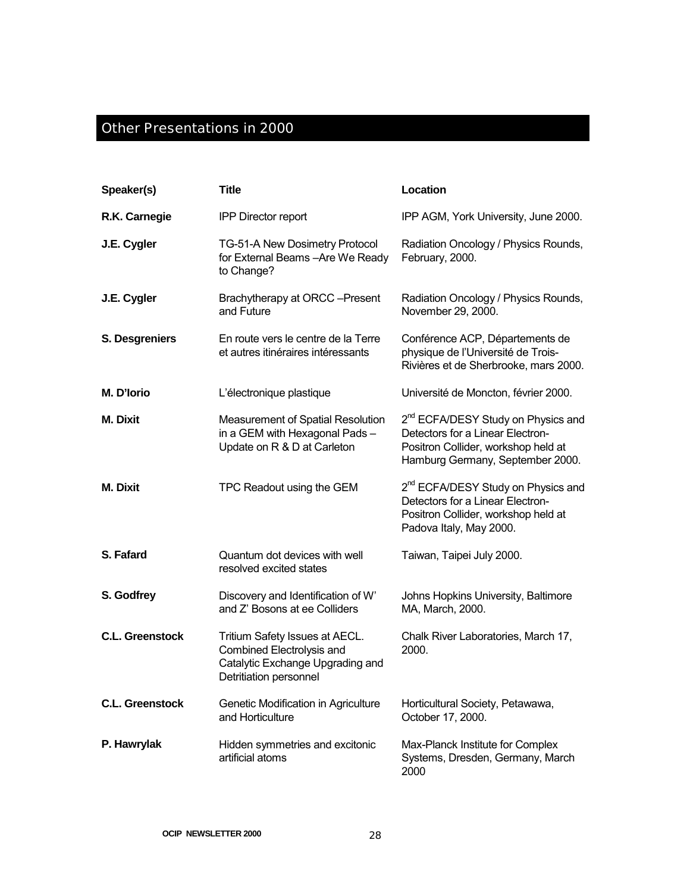#### Other Presentations in 2000

| Speaker(s)             | <b>Title</b>                                                                                                              | Location                                                                                                                                                      |
|------------------------|---------------------------------------------------------------------------------------------------------------------------|---------------------------------------------------------------------------------------------------------------------------------------------------------------|
| R.K. Carnegie          | <b>IPP Director report</b>                                                                                                | IPP AGM, York University, June 2000.                                                                                                                          |
| J.E. Cygler            | TG-51-A New Dosimetry Protocol<br>for External Beams - Are We Ready<br>to Change?                                         | Radiation Oncology / Physics Rounds,<br>February, 2000.                                                                                                       |
| J.E. Cygler            | Brachytherapy at ORCC-Present<br>and Future                                                                               | Radiation Oncology / Physics Rounds,<br>November 29, 2000.                                                                                                    |
| S. Desgreniers         | En route vers le centre de la Terre<br>et autres itinéraires intéressants                                                 | Conférence ACP, Départements de<br>physique de l'Université de Trois-<br>Rivières et de Sherbrooke, mars 2000.                                                |
| M. D'Iorio             | L'électronique plastique                                                                                                  | Université de Moncton, février 2000.                                                                                                                          |
| <b>M.</b> Dixit        | Measurement of Spatial Resolution<br>in a GEM with Hexagonal Pads -<br>Update on R & D at Carleton                        | 2 <sup>nd</sup> ECFA/DESY Study on Physics and<br>Detectors for a Linear Electron-<br>Positron Collider, workshop held at<br>Hamburg Germany, September 2000. |
| <b>M. Dixit</b>        | TPC Readout using the GEM                                                                                                 | 2 <sup>nd</sup> ECFA/DESY Study on Physics and<br>Detectors for a Linear Electron-<br>Positron Collider, workshop held at<br>Padova Italy, May 2000.          |
| S. Fafard              | Quantum dot devices with well<br>resolved excited states                                                                  | Taiwan, Taipei July 2000.                                                                                                                                     |
| S. Godfrey             | Discovery and Identification of W'<br>and Z' Bosons at ee Colliders                                                       | Johns Hopkins University, Baltimore<br>MA, March, 2000.                                                                                                       |
| <b>C.L. Greenstock</b> | Tritium Safety Issues at AECL.<br>Combined Electrolysis and<br>Catalytic Exchange Upgrading and<br>Detritiation personnel | Chalk River Laboratories, March 17,<br>2000.                                                                                                                  |
| <b>C.L. Greenstock</b> | Genetic Modification in Agriculture<br>and Horticulture                                                                   | Horticultural Society, Petawawa,<br>October 17, 2000.                                                                                                         |
| P. Hawrylak            | Hidden symmetries and excitonic<br>artificial atoms                                                                       | Max-Planck Institute for Complex<br>Systems, Dresden, Germany, March<br>2000                                                                                  |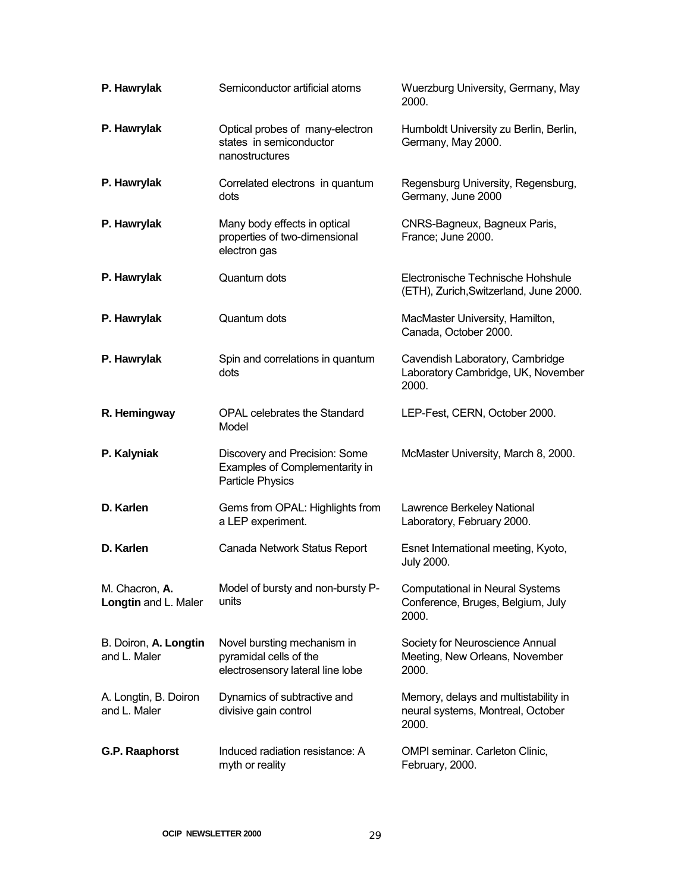| P. Hawrylak                            | Semiconductor artificial atoms                                                            | Wuerzburg University, Germany, May<br>2000.                                          |
|----------------------------------------|-------------------------------------------------------------------------------------------|--------------------------------------------------------------------------------------|
| P. Hawrylak                            | Optical probes of many-electron<br>states in semiconductor<br>nanostructures              | Humboldt University zu Berlin, Berlin,<br>Germany, May 2000.                         |
| P. Hawrylak                            | Correlated electrons in quantum<br>dots                                                   | Regensburg University, Regensburg,<br>Germany, June 2000                             |
| P. Hawrylak                            | Many body effects in optical<br>properties of two-dimensional<br>electron gas             | CNRS-Bagneux, Bagneux Paris,<br>France; June 2000.                                   |
| P. Hawrylak                            | Quantum dots                                                                              | Electronische Technische Hohshule<br>(ETH), Zurich, Switzerland, June 2000.          |
| P. Hawrylak                            | Quantum dots                                                                              | MacMaster University, Hamilton,<br>Canada, October 2000.                             |
| P. Hawrylak                            | Spin and correlations in quantum<br>dots                                                  | Cavendish Laboratory, Cambridge<br>Laboratory Cambridge, UK, November<br>2000.       |
| R. Hemingway                           | <b>OPAL celebrates the Standard</b><br>Model                                              | LEP-Fest, CERN, October 2000.                                                        |
| P. Kalyniak                            | Discovery and Precision: Some<br>Examples of Complementarity in<br>Particle Physics       | McMaster University, March 8, 2000.                                                  |
| D. Karlen                              | Gems from OPAL: Highlights from<br>a LEP experiment.                                      | Lawrence Berkeley National<br>Laboratory, February 2000.                             |
| D. Karlen                              | Canada Network Status Report                                                              | Esnet International meeting, Kyoto,<br><b>July 2000.</b>                             |
| M. Chacron, A.<br>Longtin and L. Maler | Model of bursty and non-bursty P-<br>units                                                | <b>Computational in Neural Systems</b><br>Conference, Bruges, Belgium, July<br>2000. |
| B. Doiron, A. Longtin<br>and L. Maler  | Novel bursting mechanism in<br>pyramidal cells of the<br>electrosensory lateral line lobe | Society for Neuroscience Annual<br>Meeting, New Orleans, November<br>2000.           |
| A. Longtin, B. Doiron<br>and L. Maler  | Dynamics of subtractive and<br>divisive gain control                                      | Memory, delays and multistability in<br>neural systems, Montreal, October<br>2000.   |
| G.P. Raaphorst                         | Induced radiation resistance: A<br>myth or reality                                        | <b>OMPI seminar. Carleton Clinic,</b><br>February, 2000.                             |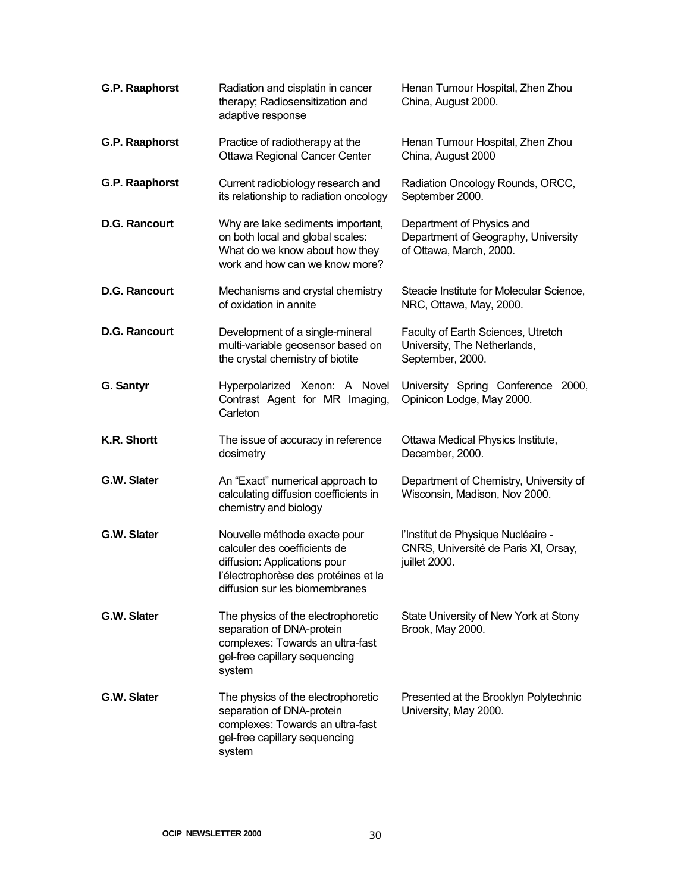| <b>G.P. Raaphorst</b> | Radiation and cisplatin in cancer<br>therapy; Radiosensitization and<br>adaptive response                                                                              | Henan Tumour Hospital, Zhen Zhou<br>China, August 2000.                                     |
|-----------------------|------------------------------------------------------------------------------------------------------------------------------------------------------------------------|---------------------------------------------------------------------------------------------|
| G.P. Raaphorst        | Practice of radiotherapy at the<br><b>Ottawa Regional Cancer Center</b>                                                                                                | Henan Tumour Hospital, Zhen Zhou<br>China, August 2000                                      |
| G.P. Raaphorst        | Current radiobiology research and<br>its relationship to radiation oncology                                                                                            | Radiation Oncology Rounds, ORCC,<br>September 2000.                                         |
| <b>D.G. Rancourt</b>  | Why are lake sediments important,<br>on both local and global scales:<br>What do we know about how they<br>work and how can we know more?                              | Department of Physics and<br>Department of Geography, University<br>of Ottawa, March, 2000. |
| <b>D.G. Rancourt</b>  | Mechanisms and crystal chemistry<br>of oxidation in annite                                                                                                             | Steacie Institute for Molecular Science,<br>NRC, Ottawa, May, 2000.                         |
| <b>D.G. Rancourt</b>  | Development of a single-mineral<br>multi-variable geosensor based on<br>the crystal chemistry of biotite                                                               | Faculty of Earth Sciences, Utretch<br>University, The Netherlands,<br>September, 2000.      |
| G. Santyr             | Hyperpolarized Xenon: A Novel<br>Contrast Agent for MR Imaging,<br>Carleton                                                                                            | University Spring Conference 2000,<br>Opinicon Lodge, May 2000.                             |
| K.R. Shortt           | The issue of accuracy in reference<br>dosimetry                                                                                                                        | Ottawa Medical Physics Institute,<br>December, 2000.                                        |
| G.W. Slater           | An "Exact" numerical approach to<br>calculating diffusion coefficients in<br>chemistry and biology                                                                     | Department of Chemistry, University of<br>Wisconsin, Madison, Nov 2000.                     |
| G.W. Slater           | Nouvelle méthode exacte pour<br>calculer des coefficients de<br>diffusion: Applications pour<br>l'électrophorèse des protéines et la<br>diffusion sur les biomembranes | l'Institut de Physique Nucléaire -<br>CNRS, Université de Paris XI, Orsay,<br>juillet 2000. |
| G.W. Slater           | The physics of the electrophoretic<br>separation of DNA-protein<br>complexes: Towards an ultra-fast<br>gel-free capillary sequencing<br>system                         | State University of New York at Stony<br>Brook, May 2000.                                   |
| G.W. Slater           | The physics of the electrophoretic<br>separation of DNA-protein<br>complexes: Towards an ultra-fast<br>gel-free capillary sequencing<br>system                         | Presented at the Brooklyn Polytechnic<br>University, May 2000.                              |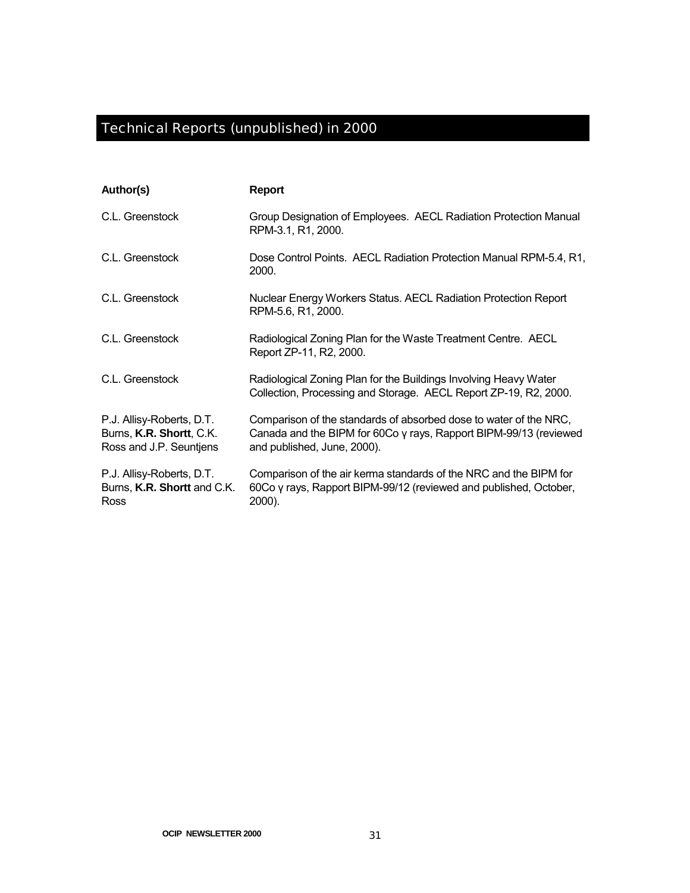# Technical Reports (unpublished) in 2000

| Author(s)                                                                        | <b>Report</b>                                                                                                                                                         |
|----------------------------------------------------------------------------------|-----------------------------------------------------------------------------------------------------------------------------------------------------------------------|
| C.L. Greenstock                                                                  | Group Designation of Employees. AECL Radiation Protection Manual<br>RPM-3.1, R1, 2000.                                                                                |
| C.L. Greenstock                                                                  | Dose Control Points. AECL Radiation Protection Manual RPM-5.4, R1,<br>2000.                                                                                           |
| C.L. Greenstock                                                                  | Nuclear Energy Workers Status. AECL Radiation Protection Report<br>RPM-5.6, R1, 2000.                                                                                 |
| C.L. Greenstock                                                                  | Radiological Zoning Plan for the Waste Treatment Centre. AECL<br>Report ZP-11, R2, 2000.                                                                              |
| C.L. Greenstock                                                                  | Radiological Zoning Plan for the Buildings Involving Heavy Water<br>Collection, Processing and Storage. AECL Report ZP-19, R2, 2000.                                  |
| P.J. Allisy-Roberts, D.T.<br>Burns, K.R. Shortt, C.K.<br>Ross and J.P. Seuntjens | Comparison of the standards of absorbed dose to water of the NRC,<br>Canada and the BIPM for 60Co y rays, Rapport BIPM-99/13 (reviewed<br>and published, June, 2000). |
| P.J. Allisy-Roberts, D.T.<br>Burns, K.R. Shortt and C.K.<br>Ross                 | Comparison of the air kerma standards of the NRC and the BIPM for<br>60Co y rays, Rapport BIPM-99/12 (reviewed and published, October,<br>2000).                      |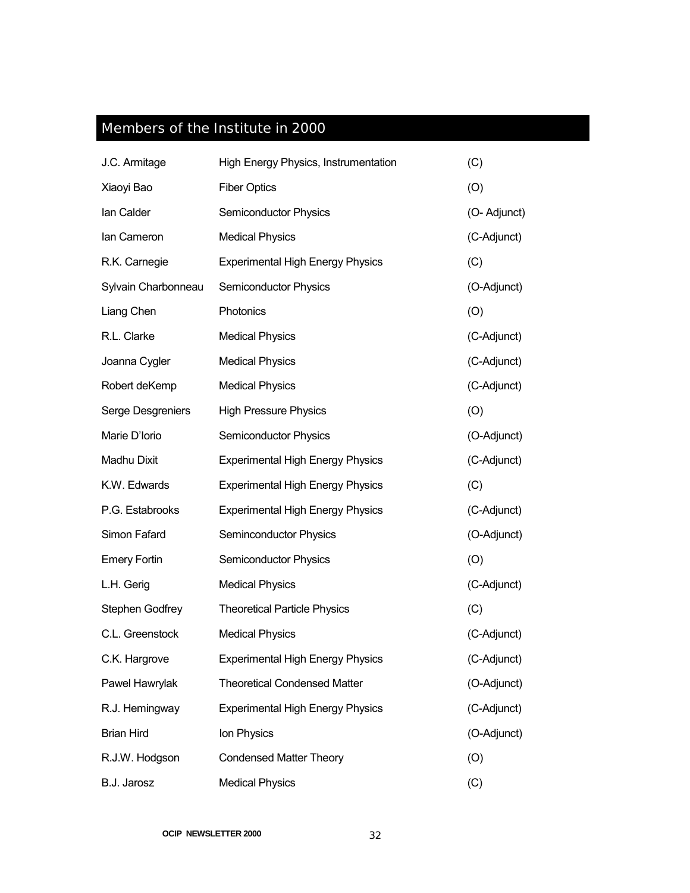## Members of the Institute in 2000

| J.C. Armitage       | High Energy Physics, Instrumentation    | (C)          |
|---------------------|-----------------------------------------|--------------|
| Xiaoyi Bao          | <b>Fiber Optics</b>                     | (O)          |
| lan Calder          | Semiconductor Physics                   | (O- Adjunct) |
| lan Cameron         | <b>Medical Physics</b>                  | (C-Adjunct)  |
| R.K. Carnegie       | <b>Experimental High Energy Physics</b> | (C)          |
| Sylvain Charbonneau | Semiconductor Physics                   | (O-Adjunct)  |
| Liang Chen          | Photonics                               | (O)          |
| R.L. Clarke         | <b>Medical Physics</b>                  | (C-Adjunct)  |
| Joanna Cygler       | <b>Medical Physics</b>                  | (C-Adjunct)  |
| Robert deKemp       | <b>Medical Physics</b>                  | (C-Adjunct)  |
| Serge Desgreniers   | <b>High Pressure Physics</b>            | (O)          |
| Marie D'Iorio       | Semiconductor Physics                   | (O-Adjunct)  |
| Madhu Dixit         | <b>Experimental High Energy Physics</b> | (C-Adjunct)  |
| K.W. Edwards        | <b>Experimental High Energy Physics</b> | (C)          |
| P.G. Estabrooks     | <b>Experimental High Energy Physics</b> | (C-Adjunct)  |
| Simon Fafard        | Seminconductor Physics                  | (O-Adjunct)  |
| <b>Emery Fortin</b> | Semiconductor Physics                   | (O)          |
| L.H. Gerig          | <b>Medical Physics</b>                  | (C-Adjunct)  |
| Stephen Godfrey     | <b>Theoretical Particle Physics</b>     | (C)          |
| C.L. Greenstock     | <b>Medical Physics</b>                  | (C-Adjunct)  |
| C.K. Hargrove       | <b>Experimental High Energy Physics</b> | (C-Adjunct)  |
| Pawel Hawrylak      | <b>Theoretical Condensed Matter</b>     | (O-Adjunct)  |
| R.J. Hemingway      | <b>Experimental High Energy Physics</b> | (C-Adjunct)  |
| <b>Brian Hird</b>   | Ion Physics                             | (O-Adjunct)  |
| R.J.W. Hodgson      | <b>Condensed Matter Theory</b>          | (O)          |
| B.J. Jarosz         | <b>Medical Physics</b>                  | (C)          |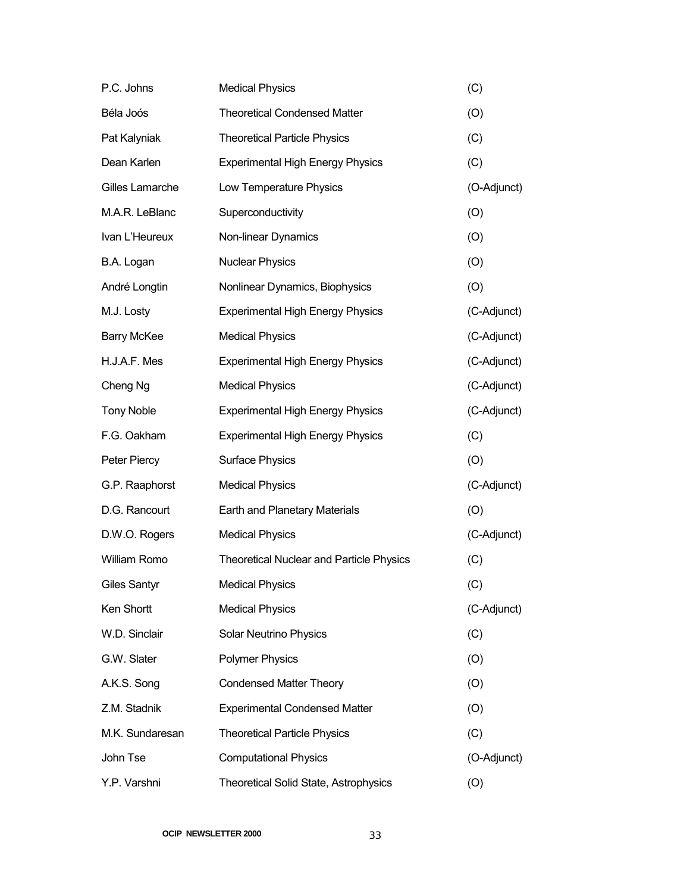| P.C. Johns         | <b>Medical Physics</b>                          | (C)         |
|--------------------|-------------------------------------------------|-------------|
| Béla Joós          | <b>Theoretical Condensed Matter</b>             | (O)         |
| Pat Kalyniak       | <b>Theoretical Particle Physics</b>             | (C)         |
| Dean Karlen        | <b>Experimental High Energy Physics</b>         | (C)         |
| Gilles Lamarche    | Low Temperature Physics                         | (O-Adjunct) |
| M.A.R. LeBlanc     | Superconductivity                               | (O)         |
| Ivan L'Heureux     | Non-linear Dynamics                             | (O)         |
| B.A. Logan         | <b>Nuclear Physics</b>                          | (O)         |
| André Longtin      | Nonlinear Dynamics, Biophysics                  | (O)         |
| M.J. Losty         | <b>Experimental High Energy Physics</b>         | (C-Adjunct) |
| <b>Barry McKee</b> | <b>Medical Physics</b>                          | (C-Adjunct) |
| H.J.A.F. Mes       | <b>Experimental High Energy Physics</b>         | (C-Adjunct) |
| Cheng Ng           | <b>Medical Physics</b>                          | (C-Adjunct) |
| <b>Tony Noble</b>  | <b>Experimental High Energy Physics</b>         | (C-Adjunct) |
| F.G. Oakham        | <b>Experimental High Energy Physics</b>         | (C)         |
| Peter Piercy       | <b>Surface Physics</b>                          | (O)         |
| G.P. Raaphorst     | <b>Medical Physics</b>                          | (C-Adjunct) |
| D.G. Rancourt      | Earth and Planetary Materials                   | (O)         |
| D.W.O. Rogers      | <b>Medical Physics</b>                          | (C-Adjunct) |
| William Romo       | <b>Theoretical Nuclear and Particle Physics</b> | (C)         |
| Giles Santyr       | <b>Medical Physics</b>                          | (C)         |
| Ken Shortt         | <b>Medical Physics</b>                          | (C-Adjunct) |
| W.D. Sinclair      | <b>Solar Neutrino Physics</b>                   | (C)         |
| G.W. Slater        | <b>Polymer Physics</b>                          | (O)         |
| A.K.S. Song        | <b>Condensed Matter Theory</b>                  | (O)         |
| Z.M. Stadnik       | <b>Experimental Condensed Matter</b>            | (O)         |
| M.K. Sundaresan    | <b>Theoretical Particle Physics</b>             | (C)         |
| John Tse           | <b>Computational Physics</b>                    | (O-Adjunct) |
| Y.P. Varshni       | Theoretical Solid State, Astrophysics           | (O)         |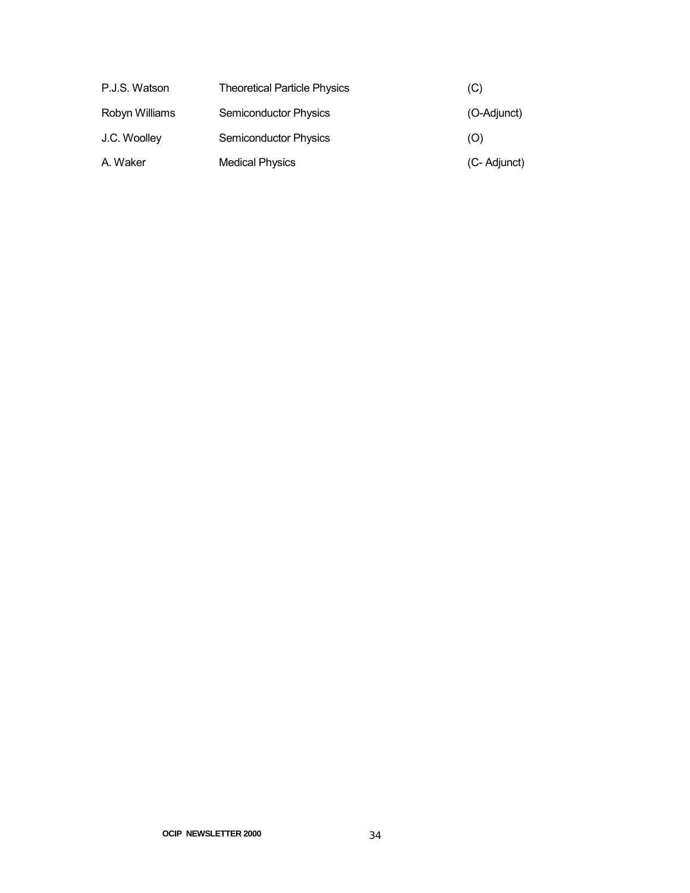| P.J.S. Watson  | <b>Theoretical Particle Physics</b> | (C)          |
|----------------|-------------------------------------|--------------|
| Robyn Williams | Semiconductor Physics               | (O-Adjunct)  |
| J.C. Woolley   | <b>Semiconductor Physics</b>        | (O)          |
| A. Waker       | <b>Medical Physics</b>              | (C- Adjunct) |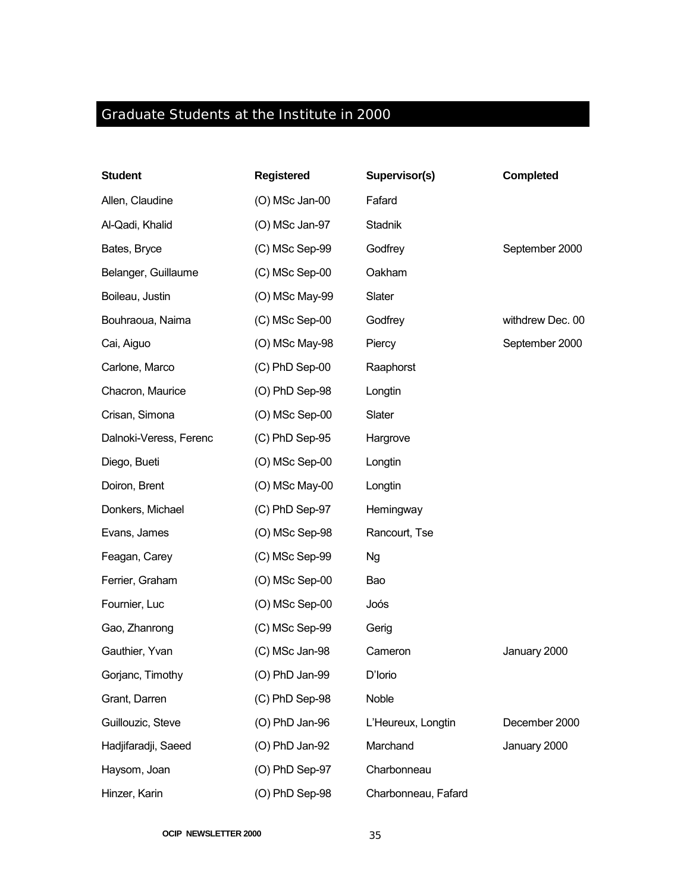## Graduate Students at the Institute in 2000

| <b>Student</b>         | <b>Registered</b> | Supervisor(s)       | <b>Completed</b> |
|------------------------|-------------------|---------------------|------------------|
| Allen, Claudine        | (O) MSc Jan-00    | Fafard              |                  |
| Al-Qadi, Khalid        | (O) MSc Jan-97    | Stadnik             |                  |
| Bates, Bryce           | (C) MSc Sep-99    | Godfrey             | September 2000   |
| Belanger, Guillaume    | (C) MSc Sep-00    | Oakham              |                  |
| Boileau, Justin        | (O) MSc May-99    | Slater              |                  |
| Bouhraoua, Naima       | (C) MSc Sep-00    | Godfrey             | withdrew Dec. 00 |
| Cai, Aiguo             | (O) MSc May-98    | Piercy              | September 2000   |
| Carlone, Marco         | (C) PhD Sep-00    | Raaphorst           |                  |
| Chacron, Maurice       | (O) PhD Sep-98    | Longtin             |                  |
| Crisan, Simona         | $(O)$ MSc Sep-00  | Slater              |                  |
| Dalnoki-Veress, Ferenc | $(C)$ PhD Sep-95  | Hargrove            |                  |
| Diego, Bueti           | (O) MSc Sep-00    | Longtin             |                  |
| Doiron, Brent          | (O) MSc May-00    | Longtin             |                  |
| Donkers, Michael       | (C) PhD Sep-97    | Hemingway           |                  |
| Evans, James           | (O) MSc Sep-98    | Rancourt, Tse       |                  |
| Feagan, Carey          | (C) MSc Sep-99    | <b>Ng</b>           |                  |
| Ferrier, Graham        | $(O)$ MSc Sep-00  | Bao                 |                  |
| Fournier, Luc          | (O) MSc Sep-00    | Joós                |                  |
| Gao, Zhanrong          | (C) MSc Sep-99    | Gerig               |                  |
| Gauthier, Yvan         | (C) MSc Jan-98    | Cameron             | January 2000     |
| Gorjanc, Timothy       | (O) PhD Jan-99    | D'Iorio             |                  |
| Grant, Darren          | (C) PhD Sep-98    | Noble               |                  |
| Guillouzic, Steve      | $(O)$ PhD Jan-96  | L'Heureux, Longtin  | December 2000    |
| Hadjifaradji, Saeed    | $(O)$ PhD Jan-92  | Marchand            | January 2000     |
| Haysom, Joan           | (O) PhD Sep-97    | Charbonneau         |                  |
| Hinzer, Karin          | (O) PhD Sep-98    | Charbonneau, Fafard |                  |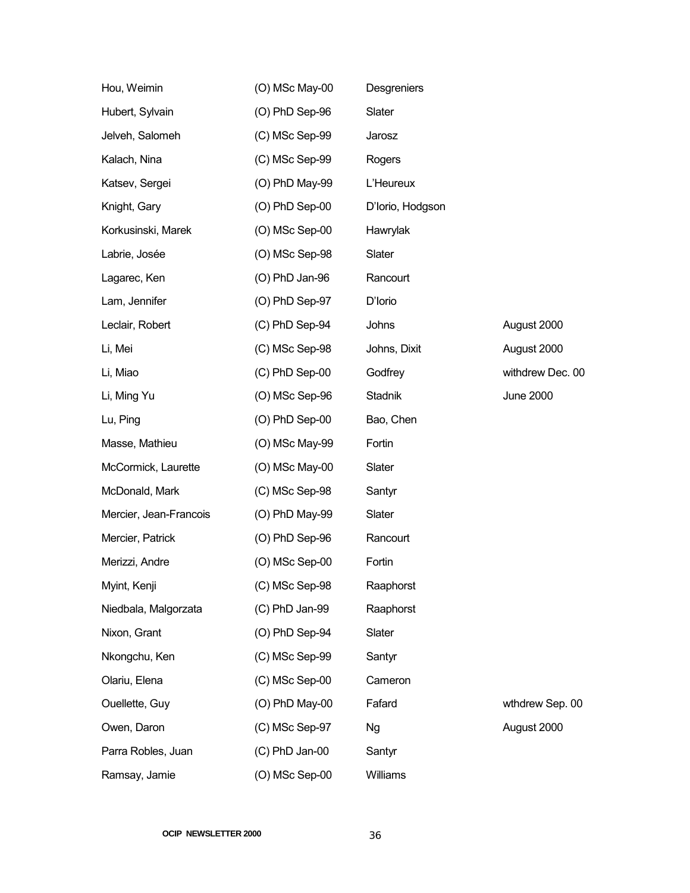| Hou, Weimin            | (O) MSc May-00   | Desgreniers      |                  |
|------------------------|------------------|------------------|------------------|
| Hubert, Sylvain        | (O) PhD Sep-96   | Slater           |                  |
| Jelveh, Salomeh        | (C) MSc Sep-99   | Jarosz           |                  |
| Kalach, Nina           | (C) MSc Sep-99   | Rogers           |                  |
| Katsev, Sergei         | (O) PhD May-99   | L'Heureux        |                  |
| Knight, Gary           | $(O)$ PhD Sep-00 | D'Iorio, Hodgson |                  |
| Korkusinski, Marek     | (O) MSc Sep-00   | Hawrylak         |                  |
| Labrie, Josée          | (O) MSc Sep-98   | Slater           |                  |
| Lagarec, Ken           | $(O)$ PhD Jan-96 | Rancourt         |                  |
| Lam, Jennifer          | (O) PhD Sep-97   | D'Iorio          |                  |
| Leclair, Robert        | (C) PhD Sep-94   | Johns            | August 2000      |
| Li, Mei                | (C) MSc Sep-98   | Johns, Dixit     | August 2000      |
| Li, Miao               | (C) PhD Sep-00   | Godfrey          | withdrew Dec. 00 |
| Li, Ming Yu            | (O) MSc Sep-96   | Stadnik          | <b>June 2000</b> |
| Lu, Ping               | $(O)$ PhD Sep-00 | Bao, Chen        |                  |
| Masse, Mathieu         | (O) MSc May-99   | Fortin           |                  |
| McCormick, Laurette    | (O) MSc May-00   | Slater           |                  |
| McDonald, Mark         | (C) MSc Sep-98   | Santyr           |                  |
| Mercier, Jean-Francois | (O) PhD May-99   | Slater           |                  |
| Mercier, Patrick       | (O) PhD Sep-96   | Rancourt         |                  |
| Merizzi, Andre         | (O) MSc Sep-00   | Fortin           |                  |
| Myint, Kenji           | (C) MSc Sep-98   | Raaphorst        |                  |
| Niedbala, Malgorzata   | (C) PhD Jan-99   | Raaphorst        |                  |
| Nixon, Grant           | (O) PhD Sep-94   | Slater           |                  |
| Nkongchu, Ken          | (C) MSc Sep-99   | Santyr           |                  |
| Olariu, Elena          | (C) MSc Sep-00   | Cameron          |                  |
| Ouellette, Guy         | (O) PhD May-00   | Fafard           | wthdrew Sep. 00  |
| Owen, Daron            | (C) MSc Sep-97   | <b>Ng</b>        | August 2000      |
| Parra Robles, Juan     | $(C)$ PhD Jan-00 | Santyr           |                  |
| Ramsay, Jamie          | (O) MSc Sep-00   | Williams         |                  |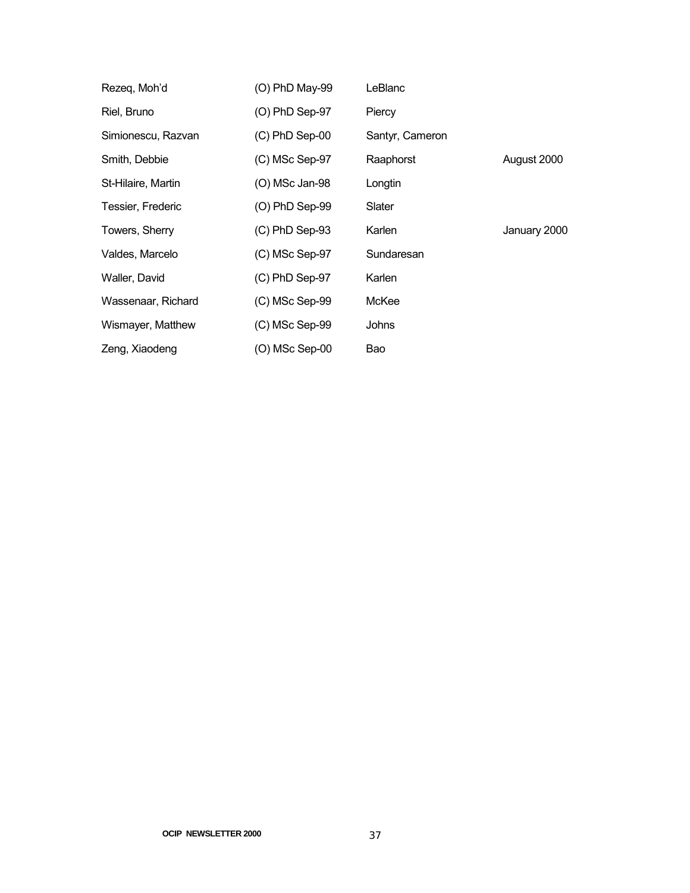| Rezeq, Moh'd       | (O) PhD May-99   | LeBlanc         |              |
|--------------------|------------------|-----------------|--------------|
| Riel, Bruno        | $(O)$ PhD Sep-97 | Piercy          |              |
| Simionescu, Razvan | $(C)$ PhD Sep-00 | Santyr, Cameron |              |
| Smith, Debbie      | $(C)$ MSc Sep-97 | Raaphorst       | August 2000  |
| St-Hilaire, Martin | (O) MSc Jan-98   | Longtin         |              |
| Tessier, Frederic  | $(O)$ PhD Sep-99 | Slater          |              |
| Towers, Sherry     | $(C)$ PhD Sep-93 | Karlen          | January 2000 |
| Valdes, Marcelo    | $(C)$ MSc Sep-97 | Sundaresan      |              |
| Waller, David      | $(C)$ PhD Sep-97 | Karlen          |              |
| Wassenaar, Richard | $(C)$ MSc Sep-99 | McKee           |              |
| Wismayer, Matthew  | $(C)$ MSc Sep-99 | Johns           |              |
| Zeng, Xiaodeng     | (O) MSc Sep-00   | Bao             |              |